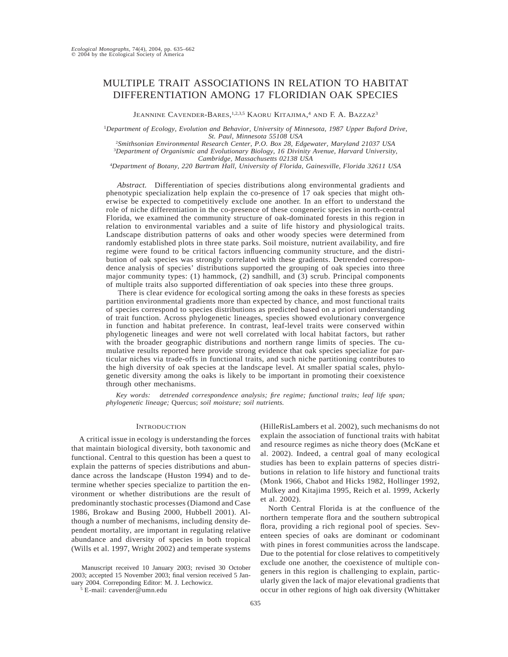# MULTIPLE TRAIT ASSOCIATIONS IN RELATION TO HABITAT DIFFERENTIATION AMONG 17 FLORIDIAN OAK SPECIES

JEANNINE CAVENDER-BARES,<sup>1,2,3,5</sup> KAORU KITAJIMA,<sup>4</sup> AND F. A. BAZZAZ<sup>3</sup>

<sup>1</sup>*Department of Ecology, Evolution and Behavior, University of Minnesota, 1987 Upper Buford Drive, St. Paul, Minnesota 55108 USA*

<sup>2</sup>*Smithsonian Environmental Research Center, P.O. Box 28, Edgewater, Maryland 21037 USA*

3 *Department of Organismic and Evolutionary Biology, 16 Divinity Avenue, Harvard University,*

*Cambridge, Massachusetts 02138 USA*

4 *Department of Botany, 220 Bartram Hall, University of Florida, Gainesville, Florida 32611 USA*

*Abstract.* Differentiation of species distributions along environmental gradients and phenotypic specialization help explain the co-presence of 17 oak species that might otherwise be expected to competitively exclude one another. In an effort to understand the role of niche differentiation in the co-presence of these congeneric species in north-central Florida, we examined the community structure of oak-dominated forests in this region in relation to environmental variables and a suite of life history and physiological traits. Landscape distribution patterns of oaks and other woody species were determined from randomly established plots in three state parks. Soil moisture, nutrient availability, and fire regime were found to be critical factors influencing community structure, and the distribution of oak species was strongly correlated with these gradients. Detrended correspondence analysis of species' distributions supported the grouping of oak species into three major community types: (1) hammock, (2) sandhill, and (3) scrub. Principal components of multiple traits also supported differentiation of oak species into these three groups.

There is clear evidence for ecological sorting among the oaks in these forests as species partition environmental gradients more than expected by chance, and most functional traits of species correspond to species distributions as predicted based on a priori understanding of trait function. Across phylogenetic lineages, species showed evolutionary convergence in function and habitat preference. In contrast, leaf-level traits were conserved within phylogenetic lineages and were not well correlated with local habitat factors, but rather with the broader geographic distributions and northern range limits of species. The cumulative results reported here provide strong evidence that oak species specialize for particular niches via trade-offs in functional traits, and such niche partitioning contributes to the high diversity of oak species at the landscape level. At smaller spatial scales, phylogenetic diversity among the oaks is likely to be important in promoting their coexistence through other mechanisms.

*Key words: detrended correspondence analysis; fire regime; functional traits; leaf life span; phylogenetic lineage;* Quercus; *soil moisture; soil nutrients.*

### INTRODUCTION

A critical issue in ecology is understanding the forces that maintain biological diversity, both taxonomic and functional. Central to this question has been a quest to explain the patterns of species distributions and abundance across the landscape (Huston 1994) and to determine whether species specialize to partition the environment or whether distributions are the result of predominantly stochastic processes (Diamond and Case 1986, Brokaw and Busing 2000, Hubbell 2001). Although a number of mechanisms, including density dependent mortality, are important in regulating relative abundance and diversity of species in both tropical (Wills et al. 1997, Wright 2002) and temperate systems

Manuscript received 10 January 2003; revised 30 October 2003; accepted 15 November 2003; final version received 5 January 2004. Correponding Editor: M. J. Lechowicz.

(HilleRisLambers et al. 2002), such mechanisms do not explain the association of functional traits with habitat and resource regimes as niche theory does (McKane et al. 2002). Indeed, a central goal of many ecological studies has been to explain patterns of species distributions in relation to life history and functional traits (Monk 1966, Chabot and Hicks 1982, Hollinger 1992, Mulkey and Kitajima 1995, Reich et al. 1999, Ackerly et al. 2002).

North Central Florida is at the confluence of the northern temperate flora and the southern subtropical flora, providing a rich regional pool of species. Seventeen species of oaks are dominant or codominant with pines in forest communities across the landscape. Due to the potential for close relatives to competitively exclude one another, the coexistence of multiple congeners in this region is challenging to explain, particularly given the lack of major elevational gradients that occur in other regions of high oak diversity (Whittaker

<sup>5</sup> E-mail: cavender@umn.edu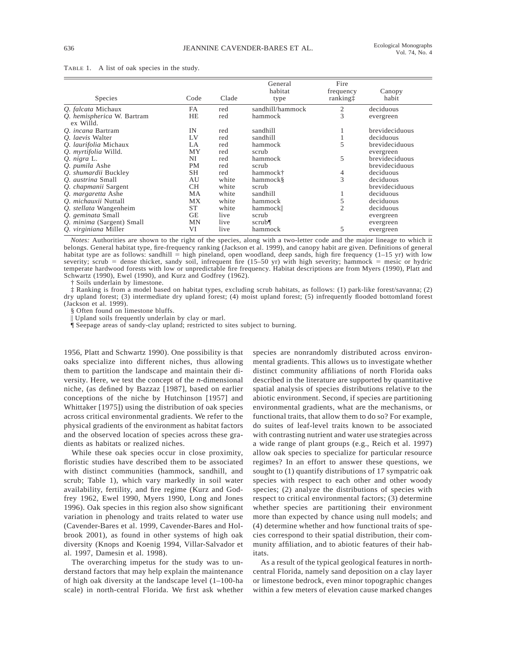| Species                                 | Code      | Clade | General<br>habitat<br>type | Fire<br>frequency<br>rankingt | Canopy<br>habit |
|-----------------------------------------|-----------|-------|----------------------------|-------------------------------|-----------------|
| O. falcata Michaux                      | FA        | red   | sandhill/hammock           | 2                             | deciduous       |
| Q. hemispherica W. Bartram<br>ex Willd. | HE        | red   | hammock                    | 3                             | evergreen       |
| O. incana Bartram                       | IN        | red   | sandhill                   |                               | brevideciduous  |
| O. laevis Walter                        | LV        | red   | sandhill                   |                               | deciduous       |
| Q. laurifolia Michaux                   | LA        | red   | hammock                    | 5                             | brevideciduous  |
| Q. myrtifolia Willd.                    | MY        | red   | scrub                      |                               | evergreen       |
| Q. nigra L.                             | NI        | red   | hammock                    | 5                             | brevideciduous  |
| Q. pumila Ashe                          | <b>PM</b> | red   | scrub                      |                               | brevideciduous  |
| Q. shumardii Buckley                    | SН        | red   | hammock†                   | 4                             | deciduous       |
| O. austrina Small                       | AU        | white | hammock§                   | 3                             | deciduous       |
| Q. chapmanii Sargent                    | <b>CH</b> | white | scrub                      |                               | brevideciduous  |
| Q. margaretta Ashe                      | MA        | white | sandhill                   | 1                             | deciduous       |
| O. michauxii Nuttall                    | MX        | white | hammock                    | 5                             | deciduous       |
| Q. stellata Wangenheim                  | SТ        | white | hammock                    | $\overline{2}$                | deciduous       |
| O. geminata Small                       | <b>GE</b> | live  | scrub                      |                               | evergreen       |
| Q. minima (Sargent) Small               | MN        | live  | scrub                      |                               | evergreen       |
| Q. virginiana Miller                    | VI        | live  | hammock                    | 5                             | evergreen       |

TABLE 1. A list of oak species in the study.

*Notes:* Authorities are shown to the right of the species, along with a two-letter code and the major lineage to which it belongs. General habitat type, fire-frequency ranking (Jackson et al. 1999), and canopy habit are given. Definitions of general habitat type are as follows: sandhill  $\dot{=}$  high pineland, open woodland, deep sands, high fire frequency (1–15 yr) with low severity; scrub = dense thicket, sandy soil, infrequent fire (15–50 yr) with high severity; hammock = mesic or hydric temperate hardwood forests with low or unpredictable fire frequency. Habitat descriptions are from Myers (1990), Platt and Schwartz (1990), Ewel (1990), and Kurz and Godfrey (1962).

† Soils underlain by limestone.

‡ Ranking is from a model based on habitat types, excluding scrub habitats, as follows: (1) park-like forest/savanna; (2) dry upland forest; (3) intermediate dry upland forest; (4) moist upland forest; (5) infrequently flooded bottomland forest (Jackson et al. 1999).

§ Often found on limestone bluffs.

\ Upland soils frequently underlain by clay or marl.

¶ Seepage areas of sandy-clay upland; restricted to sites subject to burning.

1956, Platt and Schwartz 1990). One possibility is that oaks specialize into different niches, thus allowing them to partition the landscape and maintain their diversity. Here, we test the concept of the *n*-dimensional niche, (as defined by Bazzaz [1987], based on earlier conceptions of the niche by Hutchinson [1957] and Whittaker [1975]) using the distribution of oak species across critical environmental gradients. We refer to the physical gradients of the environment as habitat factors and the observed location of species across these gradients as habitats or realized niches.

While these oak species occur in close proximity, floristic studies have described them to be associated with distinct communities (hammock, sandhill, and scrub; Table 1), which vary markedly in soil water availability, fertility, and fire regime (Kurz and Godfrey 1962, Ewel 1990, Myers 1990, Long and Jones 1996). Oak species in this region also show significant variation in phenology and traits related to water use (Cavender-Bares et al. 1999, Cavender-Bares and Holbrook 2001), as found in other systems of high oak diversity (Knops and Koenig 1994, Villar-Salvador et al. 1997, Damesin et al. 1998).

The overarching impetus for the study was to understand factors that may help explain the maintenance of high oak diversity at the landscape level (1–100-ha scale) in north-central Florida. We first ask whether

species are nonrandomly distributed across environmental gradients. This allows us to investigate whether distinct community affiliations of north Florida oaks described in the literature are supported by quantitative spatial analysis of species distributions relative to the abiotic environment. Second, if species are partitioning environmental gradients, what are the mechanisms, or functional traits, that allow them to do so? For example, do suites of leaf-level traits known to be associated with contrasting nutrient and water use strategies across a wide range of plant groups (e.g., Reich et al. 1997) allow oak species to specialize for particular resource regimes? In an effort to answer these questions, we sought to (1) quantify distributions of 17 sympatric oak species with respect to each other and other woody species; (2) analyze the distributions of species with respect to critical environmental factors; (3) determine whether species are partitioning their environment more than expected by chance using null models; and (4) determine whether and how functional traits of species correspond to their spatial distribution, their community affiliation, and to abiotic features of their habitats.

As a result of the typical geological features in northcentral Florida, namely sand deposition on a clay layer or limestone bedrock, even minor topographic changes within a few meters of elevation cause marked changes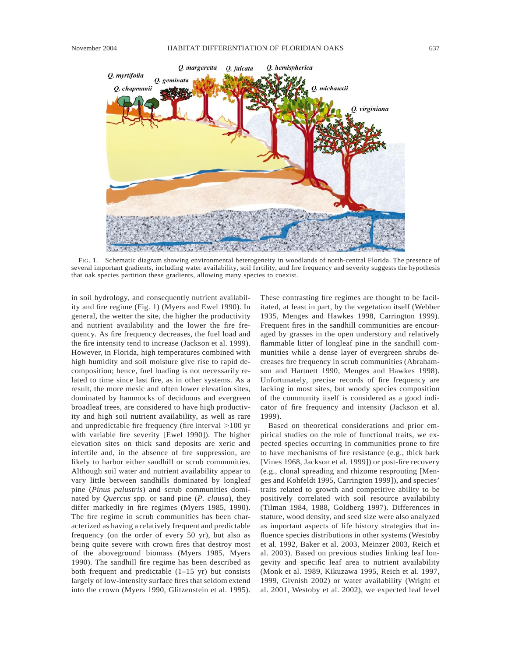

FIG. 1. Schematic diagram showing environmental heterogeneity in woodlands of north-central Florida. The presence of several important gradients, including water availability, soil fertility, and fire frequency and severity suggests the hypothesis that oak species partition these gradients, allowing many species to coexist.

in soil hydrology, and consequently nutrient availability and fire regime (Fig. 1) (Myers and Ewel 1990). In general, the wetter the site, the higher the productivity and nutrient availability and the lower the fire frequency. As fire frequency decreases, the fuel load and the fire intensity tend to increase (Jackson et al. 1999). However, in Florida, high temperatures combined with high humidity and soil moisture give rise to rapid decomposition; hence, fuel loading is not necessarily related to time since last fire, as in other systems. As a result, the more mesic and often lower elevation sites, dominated by hammocks of deciduous and evergreen broadleaf trees, are considered to have high productivity and high soil nutrient availability, as well as rare and unpredictable fire frequency (fire interval  $>100$  yr with variable fire severity [Ewel 1990]). The higher elevation sites on thick sand deposits are xeric and infertile and, in the absence of fire suppression, are likely to harbor either sandhill or scrub communities. Although soil water and nutrient availability appear to vary little between sandhills dominated by longleaf pine (*Pinus palustris*) and scrub communities dominated by *Quercus* spp. or sand pine (*P. clausa*), they differ markedly in fire regimes (Myers 1985, 1990). The fire regime in scrub communities has been characterized as having a relatively frequent and predictable frequency (on the order of every 50 yr), but also as being quite severe with crown fires that destroy most of the aboveground biomass (Myers 1985, Myers 1990). The sandhill fire regime has been described as both frequent and predictable  $(1-15 \text{ yr})$  but consists largely of low-intensity surface fires that seldom extend into the crown (Myers 1990, Glitzenstein et al. 1995).

These contrasting fire regimes are thought to be facilitated, at least in part, by the vegetation itself (Webber 1935, Menges and Hawkes 1998, Carrington 1999). Frequent fires in the sandhill communities are encouraged by grasses in the open understory and relatively flammable litter of longleaf pine in the sandhill communities while a dense layer of evergreen shrubs decreases fire frequency in scrub communities (Abrahamson and Hartnett 1990, Menges and Hawkes 1998). Unfortunately, precise records of fire frequency are lacking in most sites, but woody species composition of the community itself is considered as a good indicator of fire frequency and intensity (Jackson et al. 1999).

Based on theoretical considerations and prior empirical studies on the role of functional traits, we expected species occurring in communities prone to fire to have mechanisms of fire resistance (e.g., thick bark [Vines 1968, Jackson et al. 1999]) or post-fire recovery (e.g., clonal spreading and rhizome resprouting [Menges and Kohfeldt 1995, Carrington 1999]), and species' traits related to growth and competitive ability to be positively correlated with soil resource availability (Tilman 1984, 1988, Goldberg 1997). Differences in stature, wood density, and seed size were also analyzed as important aspects of life history strategies that influence species distributions in other systems (Westoby et al. 1992, Baker et al. 2003, Meinzer 2003, Reich et al. 2003). Based on previous studies linking leaf longevity and specific leaf area to nutrient availability (Monk et al. 1989, Kikuzawa 1995, Reich et al. 1997, 1999, Givnish 2002) or water availability (Wright et al. 2001, Westoby et al. 2002), we expected leaf level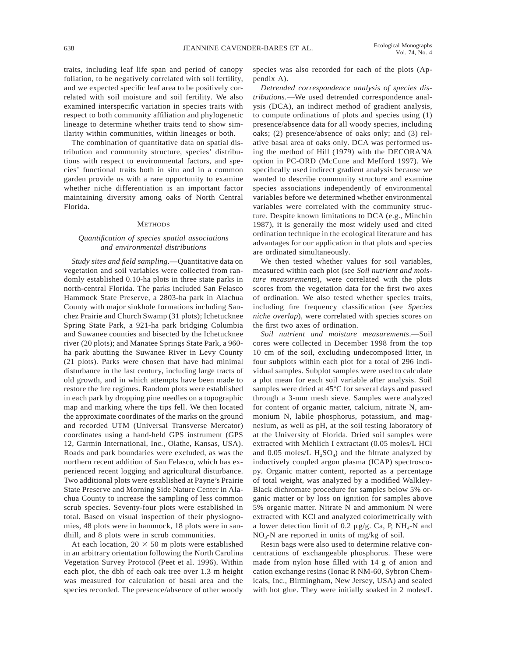traits, including leaf life span and period of canopy foliation, to be negatively correlated with soil fertility, and we expected specific leaf area to be positively correlated with soil moisture and soil fertility. We also examined interspecific variation in species traits with respect to both community affiliation and phylogenetic lineage to determine whether traits tend to show similarity within communities, within lineages or both.

The combination of quantitative data on spatial distribution and community structure, species' distributions with respect to environmental factors, and species' functional traits both in situ and in a common garden provide us with a rare opportunity to examine whether niche differentiation is an important factor maintaining diversity among oaks of North Central Florida.

# **METHODS**

# *Quantification of species spatial associations and environmental distributions*

*Study sites and field sampling*.—Quantitative data on vegetation and soil variables were collected from randomly established 0.10-ha plots in three state parks in north-central Florida. The parks included San Felasco Hammock State Preserve, a 2803-ha park in Alachua County with major sinkhole formations including Sanchez Prairie and Church Swamp (31 plots); Ichetucknee Spring State Park, a 921-ha park bridging Columbia and Suwanee counties and bisected by the Ichetucknee river (20 plots); and Manatee Springs State Park, a 960 ha park abutting the Suwanee River in Levy County (21 plots). Parks were chosen that have had minimal disturbance in the last century, including large tracts of old growth, and in which attempts have been made to restore the fire regimes. Random plots were established in each park by dropping pine needles on a topographic map and marking where the tips fell. We then located the approximate coordinates of the marks on the ground and recorded UTM (Universal Transverse Mercator) coordinates using a hand-held GPS instrument (GPS 12, Garmin International, Inc., Olathe, Kansas, USA). Roads and park boundaries were excluded, as was the northern recent addition of San Felasco, which has experienced recent logging and agricultural disturbance. Two additional plots were established at Payne's Prairie State Preserve and Morning Side Nature Center in Alachua County to increase the sampling of less common scrub species. Seventy-four plots were established in total. Based on visual inspection of their physiognomies, 48 plots were in hammock, 18 plots were in sandhill, and 8 plots were in scrub communities.

At each location,  $20 \times 50$  m plots were established in an arbitrary orientation following the North Carolina Vegetation Survey Protocol (Peet et al. 1996). Within each plot, the dbh of each oak tree over 1.3 m height was measured for calculation of basal area and the species recorded. The presence/absence of other woody

species was also recorded for each of the plots (Appendix A).

*Detrended correspondence analysis of species distributions*.—We used detrended correspondence analysis (DCA), an indirect method of gradient analysis, to compute ordinations of plots and species using (1) presence/absence data for all woody species, including oaks; (2) presence/absence of oaks only; and (3) relative basal area of oaks only. DCA was performed using the method of Hill (1979) with the DECORANA option in PC-ORD (McCune and Mefford 1997). We specifically used indirect gradient analysis because we wanted to describe community structure and examine species associations independently of environmental variables before we determined whether environmental variables were correlated with the community structure. Despite known limitations to DCA (e.g., Minchin 1987), it is generally the most widely used and cited ordination technique in the ecological literature and has advantages for our application in that plots and species are ordinated simultaneously.

We then tested whether values for soil variables, measured within each plot (see *Soil nutrient and moisture measurements*), were correlated with the plots scores from the vegetation data for the first two axes of ordination. We also tested whether species traits, including fire frequency classification (see *Species niche overlap*), were correlated with species scores on the first two axes of ordination.

*Soil nutrient and moisture measurements*.—Soil cores were collected in December 1998 from the top 10 cm of the soil, excluding undecomposed litter, in four subplots within each plot for a total of 296 individual samples. Subplot samples were used to calculate a plot mean for each soil variable after analysis. Soil samples were dried at 45°C for several days and passed through a 3-mm mesh sieve. Samples were analyzed for content of organic matter, calcium, nitrate N, ammonium N, labile phosphorus, potassium, and magnesium, as well as pH, at the soil testing laboratory of at the University of Florida. Dried soil samples were extracted with Mehlich I extractant (0.05 moles/L HCl and 0.05 moles/L  $H_2SO_4$ ) and the filtrate analyzed by inductively coupled argon plasma (ICAP) spectroscopy. Organic matter content, reported as a percentage of total weight, was analyzed by a modified Walkley-Black dichromate procedure for samples below 5% organic matter or by loss on ignition for samples above 5% organic matter. Nitrate N and ammonium N were extracted with KCl and analyzed colorimetrically with a lower detection limit of 0.2  $\mu$ g/g. Ca, P, NH<sub>4</sub>-N and  $NO<sub>3</sub>$ -N are reported in units of mg/kg of soil.

Resin bags were also used to determine relative concentrations of exchangeable phosphorus. These were made from nylon hose filled with 14 g of anion and cation exchange resins (Ionac R NM-60, Sybron Chemicals, Inc., Birmingham, New Jersey, USA) and sealed with hot glue. They were initially soaked in 2 moles/L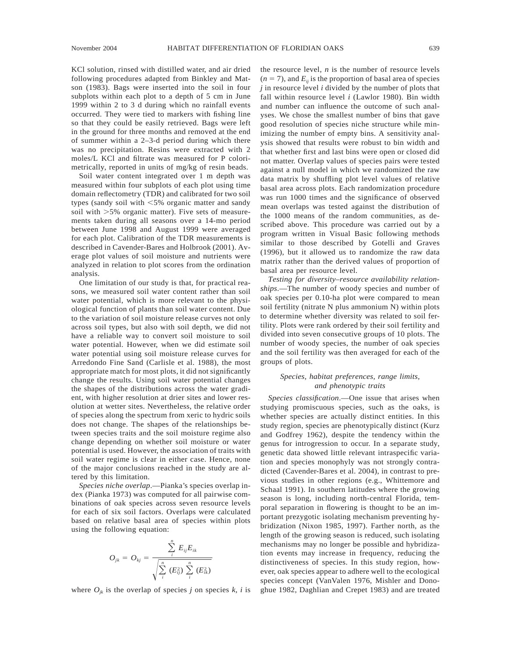KCl solution, rinsed with distilled water, and air dried following procedures adapted from Binkley and Matson (1983). Bags were inserted into the soil in four subplots within each plot to a depth of 5 cm in June 1999 within 2 to 3 d during which no rainfall events occurred. They were tied to markers with fishing line so that they could be easily retrieved. Bags were left in the ground for three months and removed at the end of summer within a 2–3-d period during which there was no precipitation. Resins were extracted with 2 moles/L KCl and filtrate was measured for P colorimetrically, reported in units of mg/kg of resin beads.

Soil water content integrated over 1 m depth was measured within four subplots of each plot using time domain reflectometry (TDR) and calibrated for two soil types (sandy soil with  $\leq 5\%$  organic matter and sandy soil with  $>5\%$  organic matter). Five sets of measurements taken during all seasons over a 14-mo period between June 1998 and August 1999 were averaged for each plot. Calibration of the TDR measurements is described in Cavender-Bares and Holbrook (2001). Average plot values of soil moisture and nutrients were analyzed in relation to plot scores from the ordination analysis.

One limitation of our study is that, for practical reasons, we measured soil water content rather than soil water potential, which is more relevant to the physiological function of plants than soil water content. Due to the variation of soil moisture release curves not only across soil types, but also with soil depth, we did not have a reliable way to convert soil moisture to soil water potential. However, when we did estimate soil water potential using soil moisture release curves for Arredondo Fine Sand (Carlisle et al. 1988), the most appropriate match for most plots, it did not significantly change the results. Using soil water potential changes the shapes of the distributions across the water gradient, with higher resolution at drier sites and lower resolution at wetter sites. Nevertheless, the relative order of species along the spectrum from xeric to hydric soils does not change. The shapes of the relationships between species traits and the soil moisture regime also change depending on whether soil moisture or water potential is used. However, the association of traits with soil water regime is clear in either case. Hence, none of the major conclusions reached in the study are altered by this limitation.

*Species niche overlap*.—Pianka's species overlap index (Pianka 1973) was computed for all pairwise combinations of oak species across seven resource levels for each of six soil factors. Overlaps were calculated based on relative basal area of species within plots using the following equation:

$$
O_{jk} = O_{kj} = \frac{\sum_{i}^{n} E_{ij} E_{ik}}{\sqrt{\sum_{i}^{n} (E_{ij}^{2}) \sum_{i}^{n} (E_{ik}^{2})}}
$$

where  $O_{ik}$  is the overlap of species *j* on species *k*, *i* is

the resource level, *n* is the number of resource levels  $(n = 7)$ , and  $E_{ii}$  is the proportion of basal area of species *j* in resource level *i* divided by the number of plots that fall within resource level *i* (Lawlor 1980). Bin width and number can influence the outcome of such analyses. We chose the smallest number of bins that gave good resolution of species niche structure while minimizing the number of empty bins. A sensitivity analysis showed that results were robust to bin width and that whether first and last bins were open or closed did not matter. Overlap values of species pairs were tested against a null model in which we randomized the raw data matrix by shuffling plot level values of relative basal area across plots. Each randomization procedure was run 1000 times and the significance of observed mean overlaps was tested against the distribution of the 1000 means of the random communities, as described above. This procedure was carried out by a program written in Visual Basic following methods similar to those described by Gotelli and Graves (1996), but it allowed us to randomize the raw data matrix rather than the derived values of proportion of basal area per resource level.

*Testing for diversity–resource availability relationships*.—The number of woody species and number of oak species per 0.10-ha plot were compared to mean soil fertility (nitrate N plus ammonium N) within plots to determine whether diversity was related to soil fertility. Plots were rank ordered by their soil fertility and divided into seven consecutive groups of 10 plots. The number of woody species, the number of oak species and the soil fertility was then averaged for each of the groups of plots.

# *Species, habitat preferences, range limits, and phenotypic traits*

*Species classification*.—One issue that arises when studying promiscuous species, such as the oaks, is whether species are actually distinct entities. In this study region, species are phenotypically distinct (Kurz and Godfrey 1962), despite the tendency within the genus for introgression to occur. In a separate study, genetic data showed little relevant intraspecific variation and species monophyly was not strongly contradicted (Cavender-Bares et al. 2004), in contrast to previous studies in other regions (e.g., Whittemore and Schaal 1991). In southern latitudes where the growing season is long, including north-central Florida, temporal separation in flowering is thought to be an important prezygotic isolating mechanism preventing hybridization (Nixon 1985, 1997). Farther north, as the length of the growing season is reduced, such isolating mechanisms may no longer be possible and hybridization events may increase in frequency, reducing the distinctiveness of species. In this study region, however, oak species appear to adhere well to the ecological species concept (VanValen 1976, Mishler and Donoghue 1982, Daghlian and Crepet 1983) and are treated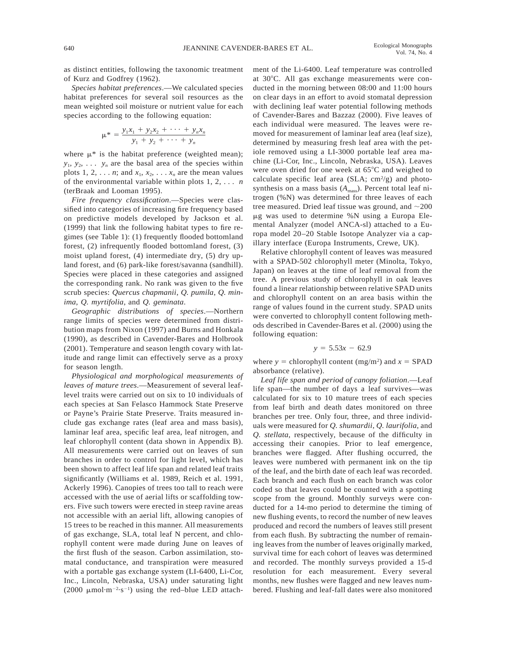as distinct entities, following the taxonomic treatment of Kurz and Godfrey (1962).

*Species habitat preferences*.—We calculated species habitat preferences for several soil resources as the mean weighted soil moisture or nutrient value for each species according to the following equation:

$$
\mu^* = \frac{y_1 x_1 + y_2 x_2 + \dots + y_n x_n}{y_1 + y_2 + \dots + y_n}
$$

where  $\mu^*$  is the habitat preference (weighted mean);  $y_1, y_2, \ldots, y_n$  are the basal area of the species within plots 1, 2, ... *n*; and  $x_1, x_2, \ldots, x_n$  are the mean values of the environmental variable within plots 1, 2, . . . *n* (terBraak and Looman 1995).

*Fire frequency classification*.—Species were classified into categories of increasing fire frequency based on predictive models developed by Jackson et al. (1999) that link the following habitat types to fire regimes (see Table 1): (1) frequently flooded bottomland forest, (2) infrequently flooded bottomland forest, (3) moist upland forest, (4) intermediate dry, (5) dry upland forest, and (6) park-like forest/savanna (sandhill). Species were placed in these categories and assigned the corresponding rank. No rank was given to the five scrub species: *Quercus chapmanii*, *Q. pumila*, *Q. minima*, *Q. myrtifolia*, and *Q. geminata*.

*Geographic distributions of species*.—Northern range limits of species were determined from distribution maps from Nixon (1997) and Burns and Honkala (1990), as described in Cavender-Bares and Holbrook (2001). Temperature and season length covary with latitude and range limit can effectively serve as a proxy for season length.

*Physiological and morphological measurements of leaves of mature trees*.—Measurement of several leaflevel traits were carried out on six to 10 individuals of each species at San Felasco Hammock State Preserve or Payne's Prairie State Preserve. Traits measured include gas exchange rates (leaf area and mass basis), laminar leaf area, specific leaf area, leaf nitrogen, and leaf chlorophyll content (data shown in Appendix B). All measurements were carried out on leaves of sun branches in order to control for light level, which has been shown to affect leaf life span and related leaf traits significantly (Williams et al. 1989, Reich et al. 1991, Ackerly 1996). Canopies of trees too tall to reach were accessed with the use of aerial lifts or scaffolding towers. Five such towers were erected in steep ravine areas not accessible with an aerial lift, allowing canopies of 15 trees to be reached in this manner. All measurements of gas exchange, SLA, total leaf N percent, and chlorophyll content were made during June on leaves of the first flush of the season. Carbon assimilation, stomatal conductance, and transpiration were measured with a portable gas exchange system (LI-6400, Li-Cor, Inc., Lincoln, Nebraska, USA) under saturating light (2000  $\mu$ mol·m<sup>-2</sup>·s<sup>-1</sup>) using the red–blue LED attachment of the Li-6400. Leaf temperature was controlled at  $30^{\circ}$ C. All gas exchange measurements were conducted in the morning between 08:00 and 11:00 hours on clear days in an effort to avoid stomatal depression with declining leaf water potential following methods of Cavender-Bares and Bazzaz (2000). Five leaves of each individual were measured. The leaves were removed for measurement of laminar leaf area (leaf size), determined by measuring fresh leaf area with the petiole removed using a LI-3000 portable leaf area machine (Li-Cor, Inc., Lincoln, Nebraska, USA). Leaves were oven dried for one week at  $65^{\circ}$ C and weighed to calculate specific leaf area  $(SLA; cm<sup>2</sup>/g)$  and photosynthesis on a mass basis ( $A<sub>mass</sub>$ ). Percent total leaf nitrogen (%N) was determined for three leaves of each tree measured. Dried leaf tissue was ground, and  $\sim$ 200 mg was used to determine %N using a Europa Elemental Analyzer (model ANCA-sl) attached to a Europa model 20–20 Stable Isotope Analyzer via a capillary interface (Europa Instruments, Crewe, UK).

Relative chlorophyll content of leaves was measured with a SPAD-502 chlorophyll meter (Minolta, Tokyo, Japan) on leaves at the time of leaf removal from the tree. A previous study of chlorophyll in oak leaves found a linear relationship between relative SPAD units and chlorophyll content on an area basis within the range of values found in the current study. SPAD units were converted to chlorophyll content following methods described in Cavender-Bares et al. (2000) using the following equation:

$$
y = 5.53x - 62.9
$$

where  $y =$  chlorophyll content (mg/m<sup>2</sup>) and  $x =$  SPAD absorbance (relative).

*Leaf life span and period of canopy foliation*.—Leaf life span—the number of days a leaf survives—was calculated for six to 10 mature trees of each species from leaf birth and death dates monitored on three branches per tree. Only four, three, and three individuals were measured for *Q. shumardii*, *Q. laurifolia*, and *Q. stellata*, respectively, because of the difficulty in accessing their canopies. Prior to leaf emergence, branches were flagged. After flushing occurred, the leaves were numbered with permanent ink on the tip of the leaf, and the birth date of each leaf was recorded. Each branch and each flush on each branch was color coded so that leaves could be counted with a spotting scope from the ground. Monthly surveys were conducted for a 14-mo period to determine the timing of new flushing events, to record the number of new leaves produced and record the numbers of leaves still present from each flush. By subtracting the number of remaining leaves from the number of leaves originally marked, survival time for each cohort of leaves was determined and recorded. The monthly surveys provided a 15-d resolution for each measurement. Every several months, new flushes were flagged and new leaves numbered. Flushing and leaf-fall dates were also monitored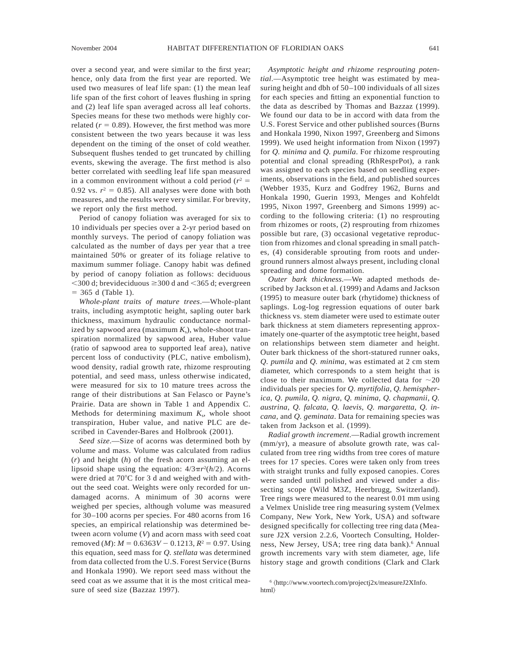over a second year, and were similar to the first year; hence, only data from the first year are reported. We used two measures of leaf life span: (1) the mean leaf life span of the first cohort of leaves flushing in spring and (2) leaf life span averaged across all leaf cohorts. Species means for these two methods were highly correlated ( $r = 0.89$ ). However, the first method was more consistent between the two years because it was less dependent on the timing of the onset of cold weather. Subsequent flushes tended to get truncated by chilling events, skewing the average. The first method is also better correlated with seedling leaf life span measured in a common environment without a cold period  $(r^2 =$ 0.92 vs.  $r^2 = 0.85$ ). All analyses were done with both measures, and the results were very similar. For brevity, we report only the first method.

Period of canopy foliation was averaged for six to 10 individuals per species over a 2-yr period based on monthly surveys. The period of canopy foliation was calculated as the number of days per year that a tree maintained 50% or greater of its foliage relative to maximum summer foliage. Canopy habit was defined by period of canopy foliation as follows: deciduous  $<$ 300 d; brevideciduous  $\geq$ 300 d and  $<$ 365 d; evergreen  $= 365$  d (Table 1).

*Whole-plant traits of mature trees*.—Whole-plant traits, including asymptotic height, sapling outer bark thickness, maximum hydraulic conductance normalized by sapwood area (maximum  $K<sub>s</sub>$ ), whole-shoot transpiration normalized by sapwood area, Huber value (ratio of sapwood area to supported leaf area), native percent loss of conductivity (PLC, native embolism), wood density, radial growth rate, rhizome resprouting potential, and seed mass, unless otherwise indicated, were measured for six to 10 mature trees across the range of their distributions at San Felasco or Payne's Prairie. Data are shown in Table 1 and Appendix C. Methods for determining maximum  $K_s$ , whole shoot transpiration, Huber value, and native PLC are described in Cavender-Bares and Holbrook (2001).

*Seed size*.—Size of acorns was determined both by volume and mass. Volume was calculated from radius (*r*) and height (*h*) of the fresh acorn assuming an ellipsoid shape using the equation:  $4/3\pi r^2(h/2)$ . Acorns were dried at  $70^{\circ}$ C for 3 d and weighed with and without the seed coat. Weights were only recorded for undamaged acorns. A minimum of 30 acorns were weighed per species, although volume was measured for 30–100 acorns per species. For 480 acorns from 16 species, an empirical relationship was determined between acorn volume (*V*) and acorn mass with seed coat removed (*M*):  $M = 0.6363V - 0.1213$ ,  $R^2 = 0.97$ . Using this equation, seed mass for *Q. stellata* was determined from data collected from the U.S. Forest Service (Burns and Honkala 1990). We report seed mass without the seed coat as we assume that it is the most critical measure of seed size (Bazzaz 1997).

*Asymptotic height and rhizome resprouting potential*.—Asymptotic tree height was estimated by measuring height and dbh of 50–100 individuals of all sizes for each species and fitting an exponential function to the data as described by Thomas and Bazzaz (1999). We found our data to be in accord with data from the U.S. Forest Service and other published sources (Burns and Honkala 1990, Nixon 1997, Greenberg and Simons 1999). We used height information from Nixon (1997) for *Q. minima* and *Q. pumila*. For rhizome resprouting potential and clonal spreading (RhResprPot), a rank was assigned to each species based on seedling experiments, observations in the field, and published sources (Webber 1935, Kurz and Godfrey 1962, Burns and Honkala 1990, Guerin 1993, Menges and Kohfeldt 1995, Nixon 1997, Greenberg and Simons 1999) according to the following criteria: (1) no resprouting from rhizomes or roots, (2) resprouting from rhizomes possible but rare, (3) occasional vegetative reproduction from rhizomes and clonal spreading in small patches, (4) considerable sprouting from roots and underground runners almost always present, including clonal spreading and dome formation.

*Outer bark thickness*.—We adapted methods described by Jackson et al. (1999) and Adams and Jackson (1995) to measure outer bark (rhytidome) thickness of saplings. Log-log regression equations of outer bark thickness vs. stem diameter were used to estimate outer bark thickness at stem diameters representing approximately one-quarter of the asymptotic tree height, based on relationships between stem diameter and height. Outer bark thickness of the short-statured runner oaks, *Q. pumila* and *Q. minima*, was estimated at 2 cm stem diameter, which corresponds to a stem height that is close to their maximum. We collected data for  $\sim 20$ individuals per species for *Q. myrtifolia*, *Q. hemispherica*, *Q. pumila*, *Q. nigra*, *Q. minima*, *Q. chapmanii*, *Q. austrina*, *Q. falcata*, *Q. laevis*, *Q. margaretta*, *Q. incana*, and *Q. geminata*. Data for remaining species was taken from Jackson et al. (1999).

*Radial growth increment*.—Radial growth increment (mm/yr), a measure of absolute growth rate, was calculated from tree ring widths from tree cores of mature trees for 17 species. Cores were taken only from trees with straight trunks and fully exposed canopies. Cores were sanded until polished and viewed under a dissecting scope (Wild M3Z, Heerbrugg, Switzerland). Tree rings were measured to the nearest 0.01 mm using a Velmex Unislide tree ring measuring system (Velmex Company, New York, New York, USA) and software designed specifically for collecting tree ring data (Measure J2X version 2.2.6, Voortech Consulting, Holderness, New Jersey, USA; tree ring data bank).<sup>6</sup> Annual growth increments vary with stem diameter, age, life history stage and growth conditions (Clark and Clark

 $6 \langle \text{http://www.voortech.com/projects/zx/measured}J2XInfo.$ html&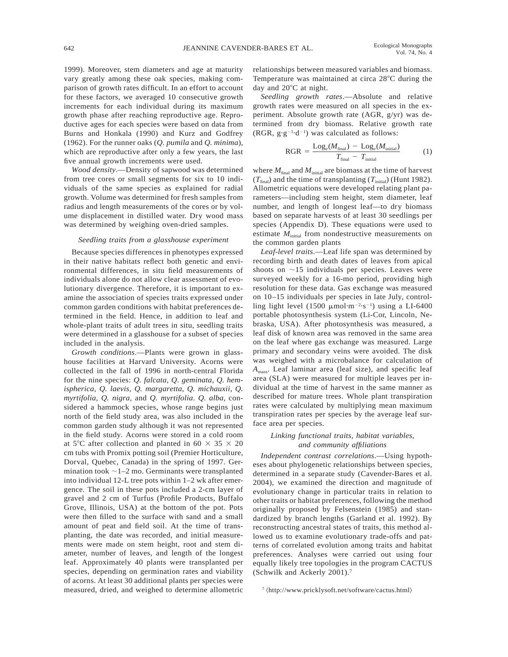1999). Moreover, stem diameters and age at maturity vary greatly among these oak species, making comparison of growth rates difficult. In an effort to account for these factors, we averaged 10 consecutive growth increments for each individual during its maximum growth phase after reaching reproductive age. Reproductive ages for each species were based on data from Burns and Honkala (1990) and Kurz and Godfrey (1962). For the runner oaks (*Q. pumila* and *Q. minima*), which are reproductive after only a few years, the last five annual growth increments were used.

*Wood density*.—Density of sapwood was determined from tree cores or small segments for six to 10 individuals of the same species as explained for radial growth. Volume was determined for fresh samples from radius and length measurements of the cores or by volume displacement in distilled water. Dry wood mass was determined by weighing oven-dried samples.

## *Seedling traits from a glasshouse experiment*

Because species differences in phenotypes expressed in their native habitats reflect both genetic and environmental differences, in situ field measurements of individuals alone do not allow clear assessment of evolutionary divergence. Therefore, it is important to examine the association of species traits expressed under common garden conditions with habitat preferences determined in the field. Hence, in addition to leaf and whole-plant traits of adult trees in situ, seedling traits were determined in a glasshouse for a subset of species included in the analysis.

*Growth conditions*.—Plants were grown in glasshouse facilities at Harvard University. Acorns were collected in the fall of 1996 in north-central Florida for the nine species: *Q. falcata*, *Q. geminata*, *Q. hemispherica*, *Q. laevis*, *Q. margaretta*, *Q. michauxii*, *Q. myrtifolia*, *Q. nigra*, and *Q. myrtifolia*. *Q. alba*, considered a hammock species, whose range begins just north of the field study area, was also included in the common garden study although it was not represented in the field study. Acorns were stored in a cold room at 5<sup>°</sup>C after collection and planted in 60  $\times$  35  $\times$  20 cm tubs with Promix potting soil (Premier Horticulture, Dorval, Quebec, Canada) in the spring of 1997. Germination took  $\sim$  1–2 mo. Germinants were transplanted into individual 12-L tree pots within 1–2 wk after emergence. The soil in these pots included a 2-cm layer of gravel and 2 cm of Turfus (Profile Products, Buffalo Grove, Illinois, USA) at the bottom of the pot. Pots were then filled to the surface with sand and a small amount of peat and field soil. At the time of transplanting, the date was recorded, and initial measurements were made on stem height, root and stem diameter, number of leaves, and length of the longest leaf. Approximately 40 plants were transplanted per species, depending on germination rates and viability of acorns. At least 30 additional plants per species were measured, dried, and weighed to determine allometric relationships between measured variables and biomass. Temperature was maintained at circa  $28^{\circ}$ C during the day and  $20^{\circ}$ C at night.

*Seedling growth rates*.—Absolute and relative growth rates were measured on all species in the experiment. Absolute growth rate (AGR, g/yr) was determined from dry biomass. Relative growth rate (RGR,  $g \cdot g^{-1} \cdot d^{-1}$ ) was calculated as follows:

$$
RGR = \frac{Log_e(M_{final}) - Log_e(M_{initial})}{T_{final} - T_{initial}}
$$
 (1)

where  $M_{\text{final}}$  and  $M_{\text{initial}}$  are biomass at the time of harvest  $(T_{\text{final}})$  and the time of transplanting  $(T_{\text{initial}})$  (Hunt 1982). Allometric equations were developed relating plant parameters—including stem height, stem diameter, leaf number, and length of longest leaf—to dry biomass based on separate harvests of at least 30 seedlings per species (Appendix D). These equations were used to estimate  $M_{initial}$  from nondestructive measurements on the common garden plants

*Leaf-level traits*.—Leaf life span was determined by recording birth and death dates of leaves from apical shoots on  $\sim$ 15 individuals per species. Leaves were surveyed weekly for a 16-mo period, providing high resolution for these data. Gas exchange was measured on 10–15 individuals per species in late July, controlling light level (1500  $\mu$ mol·m<sup>-2</sup>·s<sup>-1</sup>) using a LI-6400 portable photosynthesis system (Li-Cor, Lincoln, Nebraska, USA). After photosynthesis was measured, a leaf disk of known area was removed in the same area on the leaf where gas exchange was measured. Large primary and secondary veins were avoided. The disk was weighed with a microbalance for calculation of *A*mass. Leaf laminar area (leaf size), and specific leaf area (SLA) were measured for multiple leaves per individual at the time of harvest in the same manner as described for mature trees. Whole plant transpiration rates were calculated by multiplying mean maximum transpiration rates per species by the average leaf surface area per species.

## *Linking functional traits, habitat variables, and community affiliations*

*Independent contrast correlations*.—Using hypotheses about phylogenetic relationships between species, determined in a separate study (Cavender-Bares et al. 2004), we examined the direction and magnitude of evolutionary change in particular traits in relation to other traits or habitat preferences, following the method originally proposed by Felsenstein (1985) and standardized by branch lengths (Garland et al. 1992). By reconstructing ancestral states of traits, this method allowed us to examine evolutionary trade-offs and patterns of correlated evolution among traits and habitat preferences. Analyses were carried out using four equally likely tree topologies in the program CACTUS (Schwilk and Ackerly 2001).7

 $7 \langle \text{http://www.pricklysoft.net/software/cactus.html}\rangle$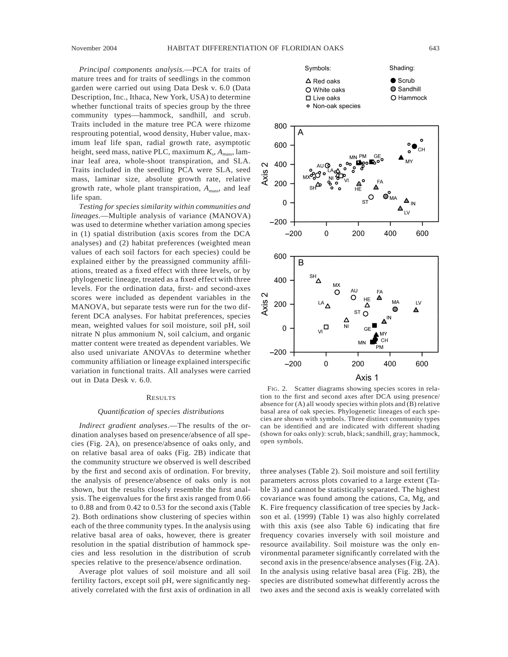*Principal components analysis*.—PCA for traits of mature trees and for traits of seedlings in the common garden were carried out using Data Desk v. 6.0 (Data Description, Inc., Ithaca, New York, USA) to determine whether functional traits of species group by the three community types—hammock, sandhill, and scrub. Traits included in the mature tree PCA were rhizome resprouting potential, wood density, Huber value, maximum leaf life span, radial growth rate, asymptotic height, seed mass, native PLC, maximum  $K_s$ ,  $A_{\text{mass}}$ , laminar leaf area, whole-shoot transpiration, and SLA. Traits included in the seedling PCA were SLA, seed mass, laminar size, absolute growth rate, relative growth rate, whole plant transpiration,  $A_{\text{mass}}$ , and leaf life span.

*Testing for species similarity within communities and lineages*.—Multiple analysis of variance (MANOVA) was used to determine whether variation among species in (1) spatial distribution (axis scores from the DCA analyses) and (2) habitat preferences (weighted mean values of each soil factors for each species) could be explained either by the preassigned community affiliations, treated as a fixed effect with three levels, or by phylogenetic lineage, treated as a fixed effect with three levels. For the ordination data, first- and second-axes scores were included as dependent variables in the MANOVA, but separate tests were run for the two different DCA analyses. For habitat preferences, species mean, weighted values for soil moisture, soil pH, soil nitrate N plus ammonium N, soil calcium, and organic matter content were treated as dependent variables. We also used univariate ANOVAs to determine whether community affiliation or lineage explained interspecific variation in functional traits. All analyses were carried out in Data Desk v. 6.0.

## **RESULTS**

## *Quantification of species distributions*

*Indirect gradient analyses*.—The results of the ordination analyses based on presence/absence of all species (Fig. 2A), on presence/absence of oaks only, and on relative basal area of oaks (Fig. 2B) indicate that the community structure we observed is well described by the first and second axis of ordination. For brevity, the analysis of presence/absence of oaks only is not shown, but the results closely resemble the first analysis. The eigenvalues for the first axis ranged from 0.66 to 0.88 and from 0.42 to 0.53 for the second axis (Table 2). Both ordinations show clustering of species within each of the three community types. In the analysis using relative basal area of oaks, however, there is greater resolution in the spatial distribution of hammock species and less resolution in the distribution of scrub species relative to the presence/absence ordination.

Average plot values of soil moisture and all soil fertility factors, except soil pH, were significantly negatively correlated with the first axis of ordination in all



FIG. 2. Scatter diagrams showing species scores in relation to the first and second axes after DCA using presence/ absence for (A) all woody species within plots and (B) relative basal area of oak species. Phylogenetic lineages of each species are shown with symbols. Three distinct community types can be identified and are indicated with different shading (shown for oaks only): scrub, black; sandhill, gray; hammock, open symbols.

three analyses (Table 2). Soil moisture and soil fertility parameters across plots covaried to a large extent (Table 3) and cannot be statistically separated. The highest covariance was found among the cations, Ca, Mg, and K. Fire frequency classification of tree species by Jackson et al. (1999) (Table 1) was also highly correlated with this axis (see also Table 6) indicating that fire frequency covaries inversely with soil moisture and resource availability. Soil moisture was the only environmental parameter significantly correlated with the second axis in the presence/absence analyses (Fig. 2A). In the analysis using relative basal area (Fig. 2B), the species are distributed somewhat differently across the two axes and the second axis is weakly correlated with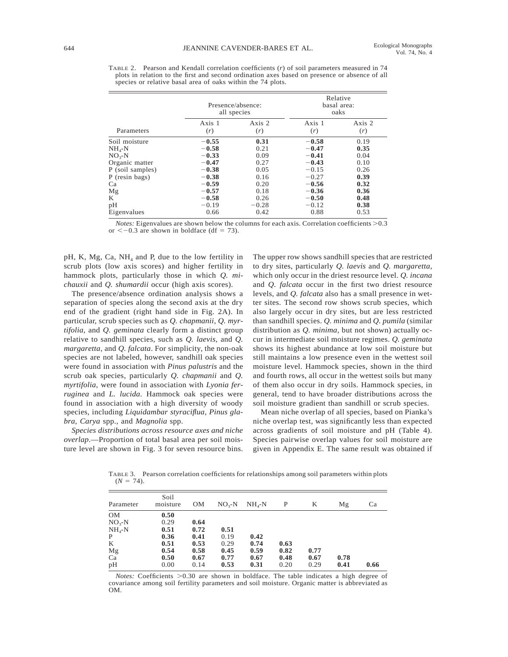|                  |         | Presence/absence:<br>all species | Relative<br>basal area:<br>oaks |        |  |
|------------------|---------|----------------------------------|---------------------------------|--------|--|
| Parameters       | Axis 1  | Axis 2                           | Axis 1                          | Axis 2 |  |
|                  | (r)     | (r)                              | (r)                             | (r)    |  |
| Soil moisture    | $-0.55$ | 0.31                             | $-0.58$                         | 0.19   |  |
| $NH_{4}-N$       | $-0.58$ | 0.21                             | $-0.47$                         | 0.35   |  |
| $NO3-N$          | $-0.33$ | 0.09                             | $-0.41$                         | 0.04   |  |
| Organic matter   | $-0.47$ | 0.27                             | $-0.43$                         | 0.10   |  |
| P (soil samples) | $-0.38$ | 0.05                             | $-0.15$                         | 0.26   |  |
| P (resin bags)   | $-0.38$ | 0.16                             | $-0.27$                         | 0.39   |  |
| Ca               | $-0.59$ | 0.20                             | $-0.56$                         | 0.32   |  |
| Mg               | $-0.57$ | 0.18                             | $-0.36$                         | 0.36   |  |
| K                | $-0.58$ | 0.26                             | $-0.50$                         | 0.48   |  |
| pH               | $-0.19$ | $-0.28$                          | $-0.12$                         | 0.38   |  |
| Eigenvalues      | 0.66    | 0.42                             | 0.88                            | 0.53   |  |

TABLE 2. Pearson and Kendall correlation coefficients (*r*) of soil parameters measured in 74 plots in relation to the first and second ordination axes based on presence or absence of all species or relative basal area of oaks within the 74 plots.

*Notes:* Eigenvalues are shown below the columns for each axis. Correlation coefficients  $> 0.3$ or  $<-0.3$  are shown in boldface (df = 73).

pH, K, Mg, Ca, NH<sub>4</sub> and P, due to the low fertility in scrub plots (low axis scores) and higher fertility in hammock plots, particularly those in which *Q. michauxii* and *Q. shumardii* occur (high axis scores).

The presence/absence ordination analysis shows a separation of species along the second axis at the dry end of the gradient (right hand side in Fig. 2A). In particular, scrub species such as *Q. chapmanii*, *Q. myrtifolia*, and *Q. geminata* clearly form a distinct group relative to sandhill species, such as *Q. laevis*, and *Q. margaretta*, and *Q. falcata*. For simplicity, the non-oak species are not labeled, however, sandhill oak species were found in association with *Pinus palustris* and the scrub oak species, particularly *Q. chapmanii* and *Q. myrtifolia*, were found in association with *Lyonia ferruginea* and *L. lucida*. Hammock oak species were found in association with a high diversity of woody species, including *Liquidambar styraciflua*, *Pinus glabra*, *Carya* spp., and *Magnolia* spp.

*Species distributions across resource axes and niche overlap*.—Proportion of total basal area per soil moisture level are shown in Fig. 3 for seven resource bins.

The upper row shows sandhill species that are restricted to dry sites, particularly *Q. laevis* and *Q. margaretta*, which only occur in the driest resource level. *Q. incana* and *Q. falcata* occur in the first two driest resource levels, and *Q. falcata* also has a small presence in wetter sites. The second row shows scrub species, which also largely occur in dry sites, but are less restricted than sandhill species. *Q. minima* and *Q. pumila* (similar distribution as *Q. minima*, but not shown) actually occur in intermediate soil moisture regimes. *Q. geminata* shows its highest abundance at low soil moisture but still maintains a low presence even in the wettest soil moisture level. Hammock species, shown in the third and fourth rows, all occur in the wettest soils but many of them also occur in dry soils. Hammock species, in general, tend to have broader distributions across the soil moisture gradient than sandhill or scrub species.

Mean niche overlap of all species, based on Pianka's niche overlap test, was significantly less than expected across gradients of soil moisture and pH (Table 4). Species pairwise overlap values for soil moisture are given in Appendix E. The same result was obtained if

TABLE 3. Pearson correlation coefficients for relationships among soil parameters within plots  $(N = 74)$ .

|            | Soil     |           |         |            |      |      |      |      |
|------------|----------|-----------|---------|------------|------|------|------|------|
| Parameter  | moisture | <b>OM</b> | $NO3-N$ | $NH_{4}-N$ | P    | K    | Mg   | Ca   |
| <b>OM</b>  | 0.50     |           |         |            |      |      |      |      |
| $NO3-N$    | 0.29     | 0.64      |         |            |      |      |      |      |
| $NH_{4}-N$ | 0.51     | 0.72      | 0.51    |            |      |      |      |      |
| P          | 0.36     | 0.41      | 0.19    | 0.42       |      |      |      |      |
| K          | 0.51     | 0.53      | 0.29    | 0.74       | 0.63 |      |      |      |
| Mg         | 0.54     | 0.58      | 0.45    | 0.59       | 0.82 | 0.77 |      |      |
| Ca         | 0.50     | 0.67      | 0.77    | 0.67       | 0.48 | 0.67 | 0.78 |      |
| pH         | 0.00     | 0.14      | 0.53    | 0.31       | 0.20 | 0.29 | 0.41 | 0.66 |

*Notes:* Coefficients >0.30 are shown in boldface. The table indicates a high degree of covariance among soil fertility parameters and soil moisture. Organic matter is abbreviated as OM.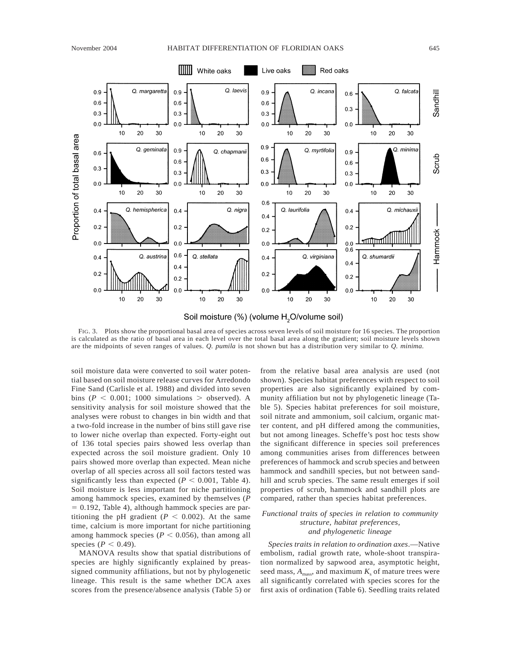

Soil moisture (%) (volume H<sub>2</sub>O/volume soil)

FIG. 3. Plots show the proportional basal area of species across seven levels of soil moisture for 16 species. The proportion is calculated as the ratio of basal area in each level over the total basal area along the gradient; soil moisture levels shown are the midpoints of seven ranges of values. *Q. pumila* is not shown but has a distribution very similar to *Q. minima*.

soil moisture data were converted to soil water potential based on soil moisture release curves for Arredondo Fine Sand (Carlisle et al. 1988) and divided into seven bins ( $P < 0.001$ ; 1000 simulations  $>$  observed). A sensitivity analysis for soil moisture showed that the analyses were robust to changes in bin width and that a two-fold increase in the number of bins still gave rise to lower niche overlap than expected. Forty-eight out of 136 total species pairs showed less overlap than expected across the soil moisture gradient. Only 10 pairs showed more overlap than expected. Mean niche overlap of all species across all soil factors tested was significantly less than expected  $(P < 0.001$ , Table 4). Soil moisture is less important for niche partitioning among hammock species, examined by themselves (*P*  $= 0.192$ , Table 4), although hammock species are partitioning the pH gradient  $(P < 0.002)$ . At the same time, calcium is more important for niche partitioning among hammock species ( $P < 0.056$ ), than among all species ( $P < 0.49$ ).

MANOVA results show that spatial distributions of species are highly significantly explained by preassigned community affiliations, but not by phylogenetic lineage. This result is the same whether DCA axes scores from the presence/absence analysis (Table 5) or

from the relative basal area analysis are used (not shown). Species habitat preferences with respect to soil properties are also significantly explained by community affiliation but not by phylogenetic lineage (Table 5). Species habitat preferences for soil moisture, soil nitrate and ammonium, soil calcium, organic matter content, and pH differed among the communities, but not among lineages. Scheffe's post hoc tests show the significant difference in species soil preferences among communities arises from differences between preferences of hammock and scrub species and between hammock and sandhill species, but not between sandhill and scrub species. The same result emerges if soil properties of scrub, hammock and sandhill plots are compared, rather than species habitat preferences.

# *Functional traits of species in relation to community structure, habitat preferences, and phylogenetic lineage*

*Species traits in relation to ordination axes*.—Native embolism, radial growth rate, whole-shoot transpiration normalized by sapwood area, asymptotic height, seed mass,  $A_{\text{mass}}$ , and maximum  $K_s$  of mature trees were all significantly correlated with species scores for the first axis of ordination (Table 6). Seedling traits related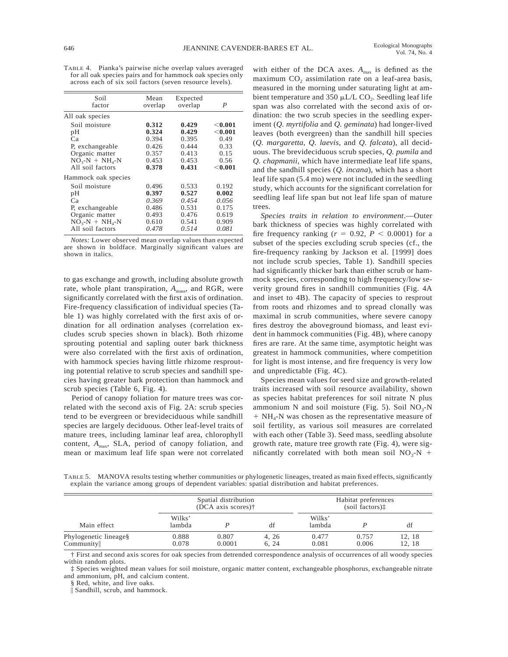TABLE 4. Pianka's pairwise niche overlap values averaged for all oak species pairs and for hammock oak species only across each of six soil factors (seven resource levels).

| Soil                | Mean    | Expected | P       |
|---------------------|---------|----------|---------|
| factor              | overlap | overlap  |         |
| All oak species     |         |          |         |
| Soil moisture       | 0.312   | 0.429    | < 0.001 |
| pH                  | 0.324   | 0.429    | < 0.001 |
| Ca                  | 0.394   | 0.395    | 0.49    |
| P, exchangeable     | 0.426   | 0.444    | 0.33    |
| Organic matter      | 0.357   | 0.413    | 0.15    |
| $NO3-N + NH4-N$     | 0.453   | 0.453    | 0.56    |
| All soil factors    | 0.378   | 0.431    | < 0.001 |
| Hammock oak species |         |          |         |
| Soil moisture       | 0.496   | 0.533    | 0.192   |
| рH                  | 0.397   | 0.527    | 0.002   |
| Ca                  | 0.369   | 0.454    | 0.056   |
| P, exchangeable     | 0.486   | 0.531    | 0.175   |
| Organic matter      | 0.493   | 0.476    | 0.619   |
| $NO3-N + NH4-N$     | 0.610   | 0.541    | 0.909   |
| All soil factors    | 0.478   | 0.514    | 0.081   |

*Notes:* Lower observed mean overlap values than expected are shown in boldface. Marginally significant values are shown in italics.

to gas exchange and growth, including absolute growth rate, whole plant transpiration,  $A_{\text{mass}}$ , and RGR, were significantly correlated with the first axis of ordination. Fire-frequency classification of individual species (Table 1) was highly correlated with the first axis of ordination for all ordination analyses (correlation excludes scrub species shown in black). Both rhizome sprouting potential and sapling outer bark thickness were also correlated with the first axis of ordination, with hammock species having little rhizome resprouting potential relative to scrub species and sandhill species having greater bark protection than hammock and scrub species (Table 6, Fig. 4).

Period of canopy foliation for mature trees was correlated with the second axis of Fig. 2A: scrub species tend to be evergreen or brevideciduous while sandhill species are largely deciduous. Other leaf-level traits of mature trees, including laminar leaf area, chlorophyll content, *A*max, SLA, period of canopy foliation, and mean or maximum leaf life span were not correlated

with either of the DCA axes.  $A_{\text{max}}$  is defined as the maximum  $CO<sub>2</sub>$  assimilation rate on a leaf-area basis, measured in the morning under saturating light at ambient temperature and 350  $\mu$ L/L CO<sub>2</sub>. Seedling leaf life span was also correlated with the second axis of ordination: the two scrub species in the seedling experiment (*Q. myrtifolia* and *Q. geminata*) had longer-lived leaves (both evergreen) than the sandhill hill species (*Q. margaretta*, *Q. laevis*, and *Q. falcata*), all deciduous. The brevideciduous scrub species, *Q. pumila* and *Q. chapmanii*, which have intermediate leaf life spans, and the sandhill species (*Q. incana*), which has a short leaf life span (5.4 mo) were not included in the seedling study, which accounts for the significant correlation for seedling leaf life span but not leaf life span of mature trees.

*Species traits in relation to environment*.—Outer bark thickness of species was highly correlated with fire frequency ranking  $(r = 0.92, P < 0.0001)$  for a subset of the species excluding scrub species (cf., the fire-frequency ranking by Jackson et al. [1999] does not include scrub species, Table 1). Sandhill species had significantly thicker bark than either scrub or hammock species, corresponding to high frequency/low severity ground fires in sandhill communities (Fig. 4A and inset to 4B). The capacity of species to resprout from roots and rhizomes and to spread clonally was maximal in scrub communities, where severe canopy fires destroy the aboveground biomass, and least evident in hammock communities (Fig. 4B), where canopy fires are rare. At the same time, asymptotic height was greatest in hammock communities, where competition for light is most intense, and fire frequency is very low and unpredictable (Fig. 4C).

Species mean values for seed size and growth-related traits increased with soil resource availability, shown as species habitat preferences for soil nitrate N plus ammonium N and soil moisture (Fig. 5). Soil  $NO_3-N$  $+$  NH<sub>4</sub>-N was chosen as the representative measure of soil fertility, as various soil measures are correlated with each other (Table 3). Seed mass, seedling absolute growth rate, mature tree growth rate (Fig. 4), were significantly correlated with both mean soil  $NO_3-N$  +

TABLE 5. MANOVA results testing whether communities or phylogenetic lineages, treated as main fixed effects, significantly explain the variance among groups of dependent variables: spatial distribution and habitat preferences.

| Main effect                        |                  | Spatial distribution<br>$(DCA axis scores)$ <sup>†</sup> |              | Habitat preferences<br>$(soil factors)$ <sup>†</sup> |                |                  |
|------------------------------------|------------------|----------------------------------------------------------|--------------|------------------------------------------------------|----------------|------------------|
|                                    | Wilks'<br>lambda |                                                          | df           | Wilks'<br>lambda                                     |                | df               |
| Phylogenetic lineage§<br>Community | 0.888<br>0.078   | 0.807<br>0.0001                                          | 4.26<br>6.24 | 0.477<br>0.081                                       | 0.757<br>0.006 | 12, 18<br>12, 18 |

† First and second axis scores for oak species from detrended correspondence analysis of occurrences of all woody species within random plots.

‡ Species weighted mean values for soil moisture, organic matter content, exchangeable phosphorus, exchangeable nitrate and ammonium, pH, and calcium content.

§ Red, white, and live oaks.

\ Sandhill, scrub, and hammock.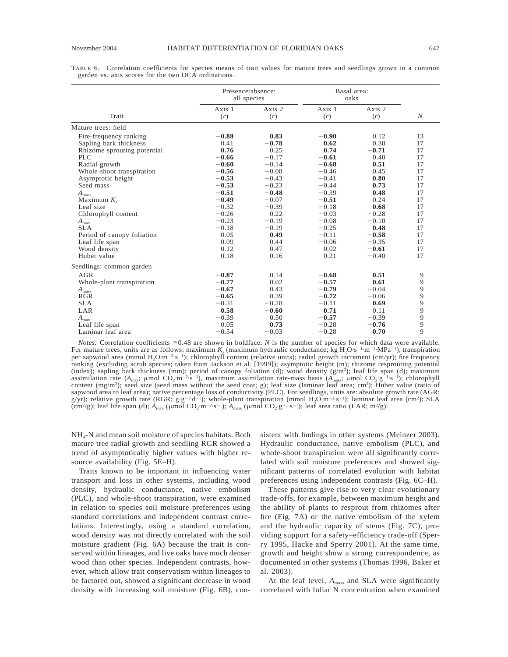TABLE 6. Correlation coefficients for species means of trait values for mature trees and seedlings grown in a common garden vs. axis scores for the two DCA ordinations.

|                             |               | Presence/absence:<br>all species | Basal area:<br>oaks |               |                  |
|-----------------------------|---------------|----------------------------------|---------------------|---------------|------------------|
| Trait                       | Axis 1<br>(r) | Axis 2<br>(r)                    | Axis 1<br>(r)       | Axis 2<br>(r) | $\boldsymbol{N}$ |
|                             |               |                                  |                     |               |                  |
| Mature trees: field         |               |                                  |                     |               |                  |
| Fire-frequency ranking      | $-0.88$       | 0.83                             | $-0.90$             | 0.12          | 13               |
| Sapling bark thickness      | 0.41          | $-0.78$                          | 0.62                | 0.30          | 17               |
| Rhizome sprouting potential | 0.76          | 0.25                             | 0.74                | $-0.71$       | 17               |
| <b>PLC</b>                  | $-0.66$       | $-0.17$                          | $-0.61$             | 0.40          | 17               |
| Radial growth               | $-0.60$       | $-0.14$                          | $-0.68$             | 0.51          | 17               |
| Whole-shoot transpiration   | $-0.56$       | $-0.08$                          | $-0.46$             | 0.45          | 17               |
| Asymptotic height           | $-0.53$       | $-0.43$                          | $-0.41$             | 0.80          | 17               |
| Seed mass                   | $-0.53$       | $-0.23$                          | $-0.44$             | 0.73          | 17               |
| $A_{\rm mass}$              | $-0.51$       | $-0.48$                          | $-0.39$             | 0.48          | 17               |
| Maximum $Ka$                | $-0.49$       | $-0.07$                          | $-0.51$             | 0.24          | 17               |
| Leaf size                   | $-0.32$       | $-0.39$                          | $-0.18$             | 0.68          | 17               |
| Chlorophyll content         | $-0.26$       | 0.22                             | $-0.03$             | $-0.28$       | 17               |
| $A_{\rm max}$               | $-0.23$       | $-0.19$                          | $-0.08$             | $-0.10$       | 17               |
| <b>SLA</b>                  | $-0.18$       | $-0.19$                          | $-0.25$             | 0.48          | 17               |
| Period of canopy foliation  | 0.05          | 0.49                             | $-0.11$             | $-0.58$       | 17               |
| Leaf life span              | 0.09          | 0.44                             | $-0.06$             | $-0.35$       | 17               |
| Wood density                | 0.12          | 0.47                             | 0.02                | $-0.61$       | 17               |
| Huber value                 | 0.18          | 0.16                             | 0.21                | $-0.40$       | 17               |
| Seedlings: common garden    |               |                                  |                     |               |                  |
| AGR                         | $-0.87$       | 0.14                             | $-0.68$             | 0.51          | 9                |
| Whole-plant transpiration   | $-0.77$       | 0.02                             | $-0.57$             | 0.61          | 9                |
| $A_{\text{mass}}$           | $-0.67$       | 0.43                             | $-0.79$             | $-0.04$       | 9                |
| <b>RGR</b>                  | $-0.65$       | 0.39                             | $-0.72$             | $-0.06$       | 9                |
| <b>SLA</b>                  | $-0.31$       | $-0.28$                          | $-0.11$             | 0.69          | 9                |
| LAR                         | 0.58          | $-0.60$                          | 0.71                | 0.11          | 9                |
| $A_{\text{max}}$            | $-0.39$       | 0.50                             | $-0.57$             | $-0.39$       | 9                |
| Leaf life span              | 0.05          | 0.73                             | $-0.28$             | $-0.76$       | 9                |
| Laminar leaf area           | $-0.54$       | $-0.03$                          | $-0.28$             | 0.70          | 9                |

*Notes:* Correlation coefficients  $\geq 0.48$  are shown in boldface. *N* is the number of species for which data were available. For mature trees, units are as follows: maximum  $K_s$  (maximum hydraulic conductance; kg H<sub>2</sub>O·s<sup>-1</sup>·m<sup>-1</sup>·MPa<sup>-1</sup>); transpiration per sapwood area (mmol H<sub>2</sub>O·m<sup>-2</sup>·s<sup>-1</sup>); chlorophyll content (relative units); radial growth increment (cm/yr); fire frequency ranking (excluding scrub species; taken from Jackson et al. [1999]); asymptotic height (m); rhizome resprouting potential (index); sapling bark thickness (mm); period of canopy foliation (d); wood density  $(g/m^3)$ ; leaf life span (d); maximum assimilation rate ( $A_{\text{max}}$ ;  $\mu$ mol CO<sub>2</sub>·m<sup>-2</sup>·s<sup>-1</sup>), maximum assimilation rate-mass basis ( $A_{\text{mass}}$ ;  $\mu$ mol CO<sub>2</sub>·g<sup>-1</sup>·s<sup>-1</sup>); chlorophyll content  $(mg/m^2)$ ; seed size (seed mass without the seed coat; g); leaf size (laminar leaf area; cm<sup>2</sup>); Huber value (ratio of sapwood area to leaf area); native percentage loss of conductivity (PLC). For seedlings, units are: absolute growth rate (AGR; g/yr); relative growth rate (RGR; g·g<sup>-1</sup>·d<sup>-1</sup>); whole-plant transpiration (mmol  $H_2O·m^{-2}·s^{-1}$ ); laminar leaf area (cm<sup>2</sup>); SLA  $(\text{cm}^2/\text{g})$ ; leaf life span (d);  $A_{\text{max}}$  (µmol CO<sub>2</sub>·m<sup>-2</sup>·s<sup>-1</sup>);  $A_{\text{mass}}$  (µmol CO<sub>2</sub>·g<sup>-1</sup>·s<sup>-1</sup>); leaf area ratio (LAR; m<sup>2</sup>/g).

 $NH<sub>4</sub>$ -N and mean soil moisture of species habitats. Both mature tree radial growth and seedling RGR showed a trend of asymptotically higher values with higher resource availability (Fig. 5E–H).

Traits known to be important in influencing water transport and loss in other systems, including wood density, hydraulic conductance, native embolism (PLC), and whole-shoot transpiration, were examined in relation to species soil moisture preferences using standard correlations and independent contrast correlations. Interestingly, using a standard correlation, wood density was not directly correlated with the soil moisture gradient (Fig. 6A) because the trait is conserved within lineages, and live oaks have much denser wood than other species. Independent contrasts, however, which allow trait conservatism within lineages to be factored out, showed a significant decrease in wood density with increasing soil moisture (Fig. 6B), consistent with findings in other systems (Meinzer 2003). Hydraulic conductance, native embolism (PLC), and whole-shoot transpiration were all significantly correlated with soil moisture preferences and showed significant patterns of correlated evolution with habitat preferences using independent contrasts (Fig. 6C–H).

These patterns give rise to very clear evolutionary trade-offs, for example, between maximum height and the ability of plants to resprout from rhizomes after fire (Fig. 7A) or the native embolism of the xylem and the hydraulic capacity of stems (Fig. 7C), providing support for a safety–efficiency trade-off (Sperry 1995, Hacke and Sperry 2001). At the same time, growth and height show a strong correspondence, as documented in other systems (Thomas 1996, Baker et al. 2003).

At the leaf level,  $A_{\text{mass}}$  and SLA were significantly correlated with foliar N concentration when examined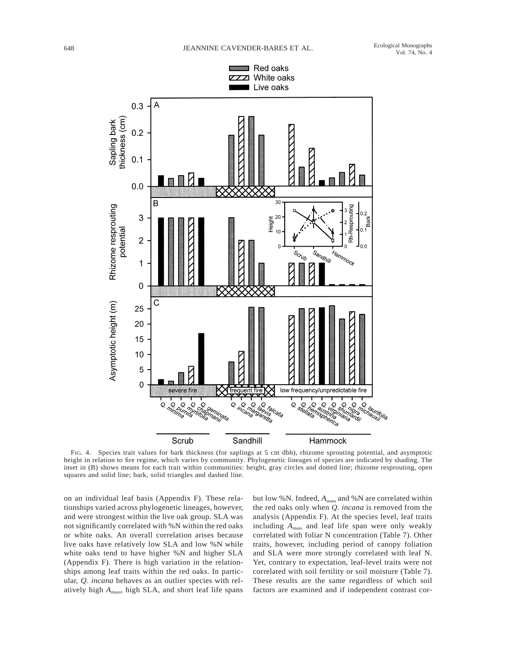

FIG. 4. Species trait values for bark thickness (for saplings at 5 cm dbh), rhizome sprouting potential, and asymptotic height in relation to fire regime, which varies by community. Phylogenetic lineages of species are indicated by shading. The inset in (B) shows means for each trait within communities: height, gray circles and dotted line; rhizome resprouting, open squares and solid line; bark, solid triangles and dashed line.

on an individual leaf basis (Appendix F). These relationships varied across phylogenetic lineages, however, and were strongest within the live oak group. SLA was not significantly correlated with %N within the red oaks or white oaks. An overall correlation arises because live oaks have relatively low SLA and low %N while white oaks tend to have higher %N and higher SLA (Appendix F). There is high variation in the relationships among leaf traits within the red oaks. In particular, *Q. incana* behaves as an outlier species with relatively high *A*mass, high SLA, and short leaf life spans

but low %N. Indeed,  $A_{\text{mass}}$  and %N are correlated within the red oaks only when *Q. incana* is removed from the analysis (Appendix F). At the species level, leaf traits including *A*mass and leaf life span were only weakly correlated with foliar N concentration (Table 7). Other traits, however, including period of canopy foliation and SLA were more strongly correlated with leaf N. Yet, contrary to expectation, leaf-level traits were not correlated with soil fertility or soil moisture (Table 7). These results are the same regardless of which soil factors are examined and if independent contrast cor-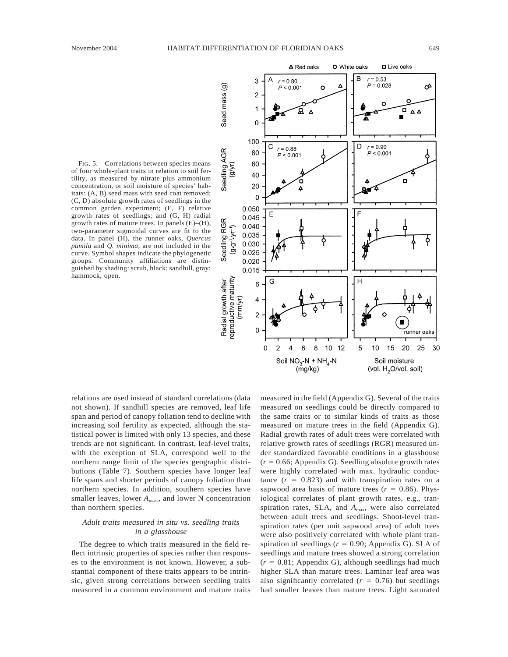FIG. 5. Correlations between species means of four whole-plant traits in relation to soil fertility, as measured by nitrate plus ammonium concentration, or soil moisture of species' habitats: (A, B) seed mass with seed coat removed; (C, D) absolute growth rates of seedlings in the common garden experiment; (E, F) relative growth rates of seedlings; and (G, H) radial growth rates of mature trees. In panels (E)–(H), two-parameter sigmoidal curves are fit to the data. In panel (H), the runner oaks, *Quercus pumila* and *Q. minima*, are not included in the curve. Symbol shapes indicate the phylogenetic groups. Community affiliations are distinguished by shading: scrub, black; sandhill, gray; hammock, open.



relations are used instead of standard correlations (data not shown). If sandhill species are removed, leaf life span and period of canopy foliation tend to decline with increasing soil fertility as expected, although the statistical power is limited with only 13 species, and these trends are not significant. In contrast, leaf-level traits, with the exception of SLA, correspond well to the northern range limit of the species geographic distributions (Table 7). Southern species have longer leaf life spans and shorter periods of canopy foliation than northern species. In addition, southern species have smaller leaves, lower  $A_{\text{mass}}$ , and lower N concentration than northern species.

# *Adult traits measured in situ vs. seedling traits in a glasshouse*

The degree to which traits measured in the field reflect intrinsic properties of species rather than responses to the environment is not known. However, a substantial component of these traits appears to be intrinsic, given strong correlations between seedling traits measured in a common environment and mature traits

measured in the field (Appendix G). Several of the traits measured on seedlings could be directly compared to the same traits or to similar kinds of traits as those measured on mature trees in the field (Appendix G). Radial growth rates of adult trees were correlated with relative growth rates of seedlings (RGR) measured under standardized favorable conditions in a glasshouse  $(r = 0.66;$  Appendix G). Seedling absolute growth rates were highly correlated with max. hydraulic conductance  $(r = 0.823)$  and with transpiration rates on a sapwood area basis of mature trees  $(r = 0.86)$ . Physiological correlates of plant growth rates, e.g., transpiration rates, SLA, and  $A_{\text{max}}$ , were also correlated between adult trees and seedlings. Shoot-level transpiration rates (per unit sapwood area) of adult trees were also positively correlated with whole plant transpiration of seedlings ( $r = 0.90$ ; Appendix G). SLA of seedlings and mature trees showed a strong correlation  $(r = 0.81;$  Appendix G), although seedlings had much higher SLA than mature trees. Laminar leaf area was also significantly correlated  $(r = 0.76)$  but seedlings had smaller leaves than mature trees. Light saturated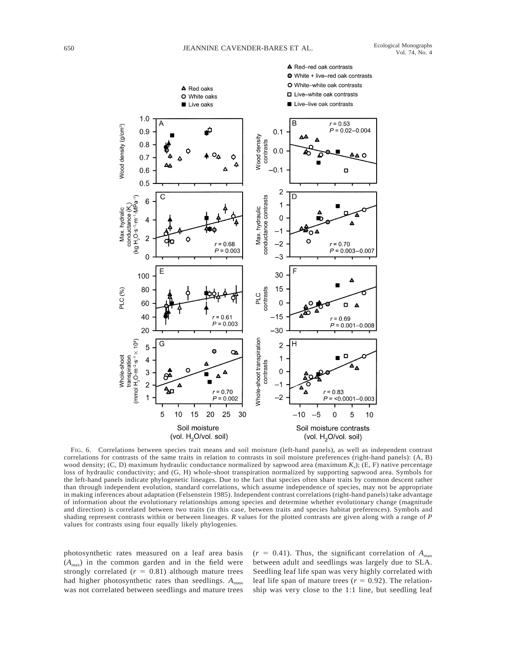

FIG. 6. Correlations between species trait means and soil moisture (left-hand panels), as well as independent contrast correlations for contrasts of the same traits in relation to contrasts in soil moisture preferences (right-hand panels): (A, B) wood density; (C, D) maximum hydraulic conductance normalized by sapwood area (maximum *K<sub>s</sub>*); (E, F) native percentage loss of hydraulic conductivity; and (G, H) whole-shoot transpiration normalized by supporting sapwood area. Symbols for the left-hand panels indicate phylogenetic lineages. Due to the fact that species often share traits by common descent rather than through independent evolution, standard correlations, which assume independence of species, may not be appropriate in making inferences about adaptation (Felsenstein 1985). Independent contrast correlations (right-hand panels) take advantage of information about the evolutionary relationships among species and determine whether evolutionary change (magnitude and direction) is correlated between two traits (in this case, between traits and species habitat preferences). Symbols and shading represent contrasts within or between lineages. *R* values for the plotted contrasts are given along with a range of *P* values for contrasts using four equally likely phylogenies.

photosynthetic rates measured on a leaf area basis  $(A<sub>may</sub>)$  in the common garden and in the field were strongly correlated  $(r = 0.81)$  although mature trees had higher photosynthetic rates than seedlings.  $A_{\text{mass}}$ was not correlated between seedlings and mature trees  $(r = 0.41)$ . Thus, the significant correlation of  $A_{\text{max}}$ between adult and seedlings was largely due to SLA. Seedling leaf life span was very highly correlated with leaf life span of mature trees ( $r = 0.92$ ). The relationship was very close to the 1:1 line, but seedling leaf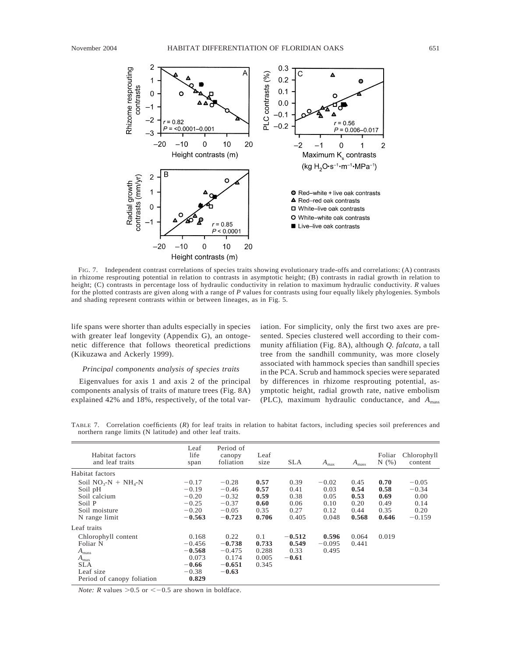

FIG. 7. Independent contrast correlations of species traits showing evolutionary trade-offs and correlations: (A) contrasts in rhizome resprouting potential in relation to contrasts in asymptotic height; (B) contrasts in radial growth in relation to height; (C) contrasts in percentage loss of hydraulic conductivity in relation to maximum hydraulic conductivity. *R* values for the plotted contrasts are given along with a range of *P* values for contrasts using four equally likely phylogenies. Symbols and shading represent contrasts within or between lineages, as in Fig. 5.

life spans were shorter than adults especially in species with greater leaf longevity (Appendix G), an ontogenetic difference that follows theoretical predictions (Kikuzawa and Ackerly 1999).

## *Principal components analysis of species traits*

Eigenvalues for axis 1 and axis 2 of the principal components analysis of traits of mature trees (Fig. 8A) explained 42% and 18%, respectively, of the total variation. For simplicity, only the first two axes are presented. Species clustered well according to their community affiliation (Fig. 8A), although *Q. falcata*, a tall tree from the sandhill community, was more closely associated with hammock species than sandhill species in the PCA. Scrub and hammock species were separated by differences in rhizome resprouting potential, asymptotic height, radial growth rate, native embolism (PLC), maximum hydraulic conductance, and *A*mass

| Habitat factors<br>and leaf traits                                                                                             | Leaf<br>life<br>span                                                  | Period of<br>canopy<br>foliation                                | Leaf<br>size                                  | <b>SLA</b>                                    | $A_{\rm max}$                                    | $A_{\rm mass}$                                | Foliar<br>N(% )                               | Chlorophyll<br>content                                 |
|--------------------------------------------------------------------------------------------------------------------------------|-----------------------------------------------------------------------|-----------------------------------------------------------------|-----------------------------------------------|-----------------------------------------------|--------------------------------------------------|-----------------------------------------------|-----------------------------------------------|--------------------------------------------------------|
| Habitat factors                                                                                                                |                                                                       |                                                                 |                                               |                                               |                                                  |                                               |                                               |                                                        |
| Soil $NO_3-N + NH_4-N$<br>Soil pH<br>Soil calcium<br>Soil P<br>Soil moisture<br>N range limit                                  | $-0.17$<br>$-0.19$<br>$-0.20$<br>$-0.25$<br>$-0.20$<br>$-0.563$       | $-0.28$<br>$-0.46$<br>$-0.32$<br>$-0.37$<br>$-0.05$<br>$-0.723$ | 0.57<br>0.57<br>0.59<br>0.60<br>0.35<br>0.706 | 0.39<br>0.41<br>0.38<br>0.06<br>0.27<br>0.405 | $-0.02$<br>0.03<br>0.05<br>0.10<br>0.12<br>0.048 | 0.45<br>0.54<br>0.53<br>0.20<br>0.44<br>0.568 | 0.70<br>0.58<br>0.69<br>0.49<br>0.35<br>0.646 | $-0.05$<br>$-0.34$<br>0.00<br>0.14<br>0.20<br>$-0.159$ |
| Leaf traits                                                                                                                    |                                                                       |                                                                 |                                               |                                               |                                                  |                                               |                                               |                                                        |
| Chlorophyll content<br>Foliar N<br>$A_{\rm mass}$<br>$A_{\text{max}}$<br><b>SLA</b><br>Leaf size<br>Period of canopy foliation | 0.168<br>$-0.456$<br>$-0.568$<br>0.073<br>$-0.66$<br>$-0.38$<br>0.829 | 0.22<br>$-0.738$<br>$-0.475$<br>0.174<br>$-0.651$<br>$-0.63$    | 0.1<br>0.733<br>0.288<br>0.005<br>0.345       | $-0.512$<br>0.549<br>0.33<br>$-0.61$          | 0.596<br>$-0.095$<br>0.495                       | 0.064<br>0.441                                | 0.019                                         |                                                        |

TABLE 7. Correlation coefficients (*R*) for leaf traits in relation to habitat factors, including species soil preferences and northern range limits (N latitude) and other leaf traits.

*Note:* R values  $>0.5$  or  $<-0.5$  are shown in boldface.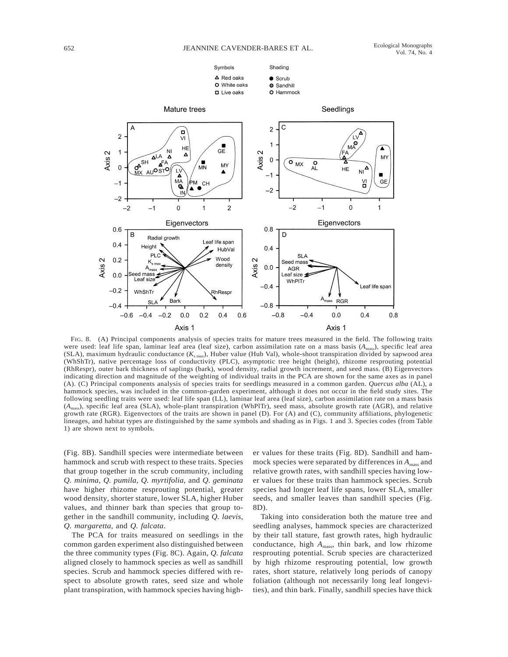Shading



FIG. 8. (A) Principal components analysis of species traits for mature trees measured in the field. The following traits were used: leaf life span, laminar leaf area (leaf size), carbon assimilation rate on a mass basis (*A*mass), specific leaf area (SLA), maximum hydraulic conductance ( $K_{s \text{ max}}$ ), Huber value (Hub Val), whole-shoot transpiration divided by sapwood area (WhShTr), native percentage loss of conductivity (PLC), asymptotic tree height (height), rhizome resprouting potential (RhRespr), outer bark thickness of saplings (bark), wood density, radial growth increment, and seed mass. (B) Eigenvectors indicating direction and magnitude of the weighting of individual traits in the PCA are shown for the same axes as in panel (A). (C) Principal components analysis of species traits for seedlings measured in a common garden. *Quercus alba* (AL), a hammock species, was included in the common-garden experiment, although it does not occur in the field study sites. The following seedling traits were used: leaf life span (LL), laminar leaf area (leaf size), carbon assimilation rate on a mass basis (*A*mass), specific leaf area (SLA), whole-plant transpiration (WhPlTr), seed mass, absolute growth rate (AGR), and relative growth rate (RGR). Eigenvectors of the traits are shown in panel (D). For (A) and (C), community affiliations, phylogenetic lineages, and habitat types are distinguished by the same symbols and shading as in Figs. 1 and 3. Species codes (from Table 1) are shown next to symbols.

(Fig. 8B). Sandhill species were intermediate between hammock and scrub with respect to these traits. Species that group together in the scrub community, including *Q. minima*, *Q. pumila*, *Q. myrtifolia*, and *Q. geminata* have higher rhizome resprouting potential, greater wood density, shorter stature, lower SLA, higher Huber values, and thinner bark than species that group together in the sandhill community, including *Q. laevis*, *Q. margaretta*, and *Q. falcata*.

The PCA for traits measured on seedlings in the common garden experiment also distinguished between the three community types (Fig. 8C). Again, *Q. falcata* aligned closely to hammock species as well as sandhill species. Scrub and hammock species differed with respect to absolute growth rates, seed size and whole plant transpiration, with hammock species having higher values for these traits (Fig. 8D). Sandhill and hammock species were separated by differences in  $A_{\text{mass}}$  and relative growth rates, with sandhill species having lower values for these traits than hammock species. Scrub species had longer leaf life spans, lower SLA, smaller seeds, and smaller leaves than sandhill species (Fig. 8D).

Taking into consideration both the mature tree and seedling analyses, hammock species are characterized by their tall stature, fast growth rates, high hydraulic conductance, high  $A_{\text{mass}}$ , thin bark, and low rhizome resprouting potential. Scrub species are characterized by high rhizome resprouting potential, low growth rates, short stature, relatively long periods of canopy foliation (although not necessarily long leaf longevities), and thin bark. Finally, sandhill species have thick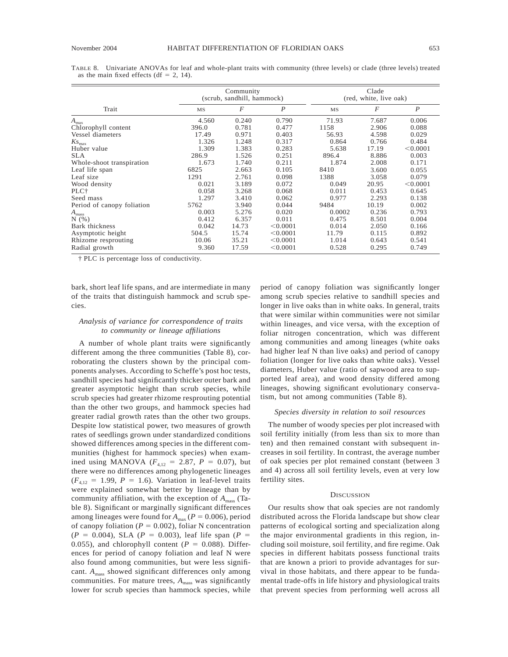|                                         |  | TABLE 8. Univariate ANOVAs for leaf and whole-plant traits with community (three levels) or clade (three levels) treated |  |  |  |  |  |
|-----------------------------------------|--|--------------------------------------------------------------------------------------------------------------------------|--|--|--|--|--|
| as the main fixed effects (df = 2, 14). |  |                                                                                                                          |  |  |  |  |  |

|                            |       | Community<br>(scrub, sandhill, hammock) |                  | Clade<br>(red, white, live oak) |                  |                  |  |
|----------------------------|-------|-----------------------------------------|------------------|---------------------------------|------------------|------------------|--|
| Trait                      | MS    | $\boldsymbol{F}$                        | $\boldsymbol{P}$ | MS                              | $\boldsymbol{F}$ | $\boldsymbol{P}$ |  |
| $A_{\text{max}}$           | 4.560 | 0.240                                   | 0.790            | 71.93                           | 7.687            | 0.006            |  |
| Chlorophyll content        | 396.0 | 0.781                                   | 0.477            | 1158                            | 2.906            | 0.088            |  |
| Vessel diameters           | 17.49 | 0.971                                   | 0.403            | 56.93                           | 4.598            | 0.029            |  |
| $Ks_{\text{max}}$          | 1.326 | 1.248                                   | 0.317            | 0.864                           | 0.766            | 0.484            |  |
| Huber value                | 1.309 | 1.383                                   | 0.283            | 5.638                           | 17.19            | < 0.0001         |  |
| <b>SLA</b>                 | 286.9 | 1.526                                   | 0.251            | 896.4                           | 8.886            | 0.003            |  |
| Whole-shoot transpiration  | 1.673 | 1.740                                   | 0.211            | 1.874                           | 2.008            | 0.171            |  |
| Leaf life span             | 6825  | 2.663                                   | 0.105            | 8410                            | 3.600            | 0.055            |  |
| Leaf size                  | 1291  | 2.761                                   | 0.098            | 1388                            | 3.058            | 0.079            |  |
| Wood density               | 0.021 | 3.189                                   | 0.072            | 0.049                           | 20.95            | < 0.0001         |  |
| PLC <sup>+</sup>           | 0.058 | 3.268                                   | 0.068            | 0.011                           | 0.453            | 0.645            |  |
| Seed mass                  | 1.297 | 3.410                                   | 0.062            | 0.977                           | 2.293            | 0.138            |  |
| Period of canopy foliation | 5762  | 3.940                                   | 0.044            | 9484                            | 10.19            | 0.002            |  |
| $A_{\text{mass}}$          | 0.003 | 5.276                                   | 0.020            | 0.0002                          | 0.236            | 0.793            |  |
| N(%)                       | 0.412 | 6.357                                   | 0.011            | 0.475                           | 8.501            | 0.004            |  |
| Bark thickness             | 0.042 | 14.73                                   | < 0.0001         | 0.014                           | 2.050            | 0.166            |  |
| Asymptotic height          | 504.5 | 15.74                                   | < 0.0001         | 11.79                           | 0.115            | 0.892            |  |
| Rhizome resprouting        | 10.06 | 35.21                                   | < 0.0001         | 1.014                           | 0.643            | 0.541            |  |
| Radial growth              | 9.360 | 17.59                                   | < 0.0001         | 0.528                           | 0.295            | 0.749            |  |

† PLC is percentage loss of conductivity.

bark, short leaf life spans, and are intermediate in many of the traits that distinguish hammock and scrub species.

# *Analysis of variance for correspondence of traits to community or lineage affiliations*

A number of whole plant traits were significantly different among the three communities (Table 8), corroborating the clusters shown by the principal components analyses. According to Scheffe's post hoc tests, sandhill species had significantly thicker outer bark and greater asymptotic height than scrub species, while scrub species had greater rhizome resprouting potential than the other two groups, and hammock species had greater radial growth rates than the other two groups. Despite low statistical power, two measures of growth rates of seedlings grown under standardized conditions showed differences among species in the different communities (highest for hammock species) when examined using MANOVA ( $F_{4,12} = 2.87$ ,  $P = 0.07$ ), but there were no differences among phylogenetic lineages  $(F_{4,12} = 1.99, P = 1.6)$ . Variation in leaf-level traits were explained somewhat better by lineage than by community affiliation, with the exception of *A*mass (Table 8). Significant or marginally significant differences among lineages were found for  $A_{\text{max}}$  ( $P = 0.006$ ), period of canopy foliation ( $P = 0.002$ ), foliar N concentration  $(P = 0.004)$ , SLA  $(P = 0.003)$ , leaf life span  $(P = 0.004)$ 0.055), and chlorophyll content ( $P = 0.088$ ). Differences for period of canopy foliation and leaf N were also found among communities, but were less significant. A<sub>mass</sub> showed significant differences only among communities. For mature trees,  $A_{\text{mass}}$  was significantly lower for scrub species than hammock species, while

period of canopy foliation was significantly longer among scrub species relative to sandhill species and longer in live oaks than in white oaks. In general, traits that were similar within communities were not similar within lineages, and vice versa, with the exception of foliar nitrogen concentration, which was different among communities and among lineages (white oaks had higher leaf N than live oaks) and period of canopy foliation (longer for live oaks than white oaks). Vessel diameters, Huber value (ratio of sapwood area to supported leaf area), and wood density differed among lineages, showing significant evolutionary conservatism, but not among communities (Table 8).

## *Species diversity in relation to soil resources*

The number of woody species per plot increased with soil fertility initially (from less than six to more than ten) and then remained constant with subsequent increases in soil fertility. In contrast, the average number of oak species per plot remained constant (between 3 and 4) across all soil fertility levels, even at very low fertility sites.

### **DISCUSSION**

Our results show that oak species are not randomly distributed across the Florida landscape but show clear patterns of ecological sorting and specialization along the major environmental gradients in this region, including soil moisture, soil fertility, and fire regime. Oak species in different habitats possess functional traits that are known a priori to provide advantages for survival in those habitats, and there appear to be fundamental trade-offs in life history and physiological traits that prevent species from performing well across all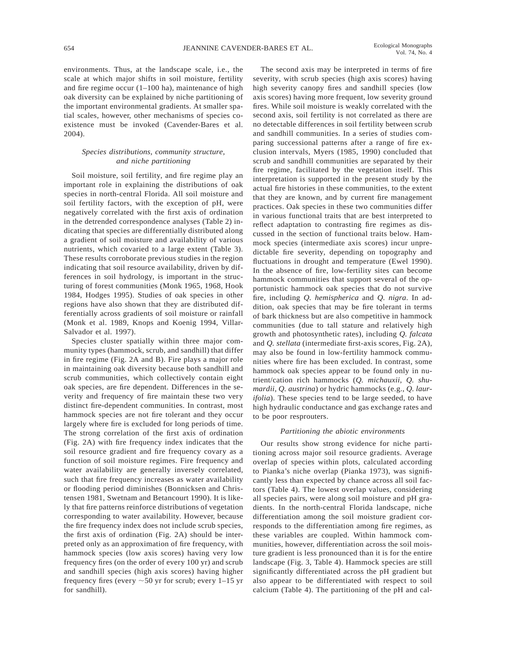environments. Thus, at the landscape scale, i.e., the scale at which major shifts in soil moisture, fertility and fire regime occur (1–100 ha), maintenance of high oak diversity can be explained by niche partitioning of the important environmental gradients. At smaller spatial scales, however, other mechanisms of species coexistence must be invoked (Cavender-Bares et al. 2004).

# *Species distributions, community structure, and niche partitioning*

Soil moisture, soil fertility, and fire regime play an important role in explaining the distributions of oak species in north-central Florida. All soil moisture and soil fertility factors, with the exception of pH, were negatively correlated with the first axis of ordination in the detrended correspondence analyses (Table 2) indicating that species are differentially distributed along a gradient of soil moisture and availability of various nutrients, which covaried to a large extent (Table 3). These results corroborate previous studies in the region indicating that soil resource availability, driven by differences in soil hydrology, is important in the structuring of forest communities (Monk 1965, 1968, Hook 1984, Hodges 1995). Studies of oak species in other regions have also shown that they are distributed differentially across gradients of soil moisture or rainfall (Monk et al. 1989, Knops and Koenig 1994, Villar-Salvador et al. 1997).

Species cluster spatially within three major community types (hammock, scrub, and sandhill) that differ in fire regime (Fig. 2A and B). Fire plays a major role in maintaining oak diversity because both sandhill and scrub communities, which collectively contain eight oak species, are fire dependent. Differences in the severity and frequency of fire maintain these two very distinct fire-dependent communities. In contrast, most hammock species are not fire tolerant and they occur largely where fire is excluded for long periods of time. The strong correlation of the first axis of ordination (Fig. 2A) with fire frequency index indicates that the soil resource gradient and fire frequency covary as a function of soil moisture regimes. Fire frequency and water availability are generally inversely correlated, such that fire frequency increases as water availability or flooding period diminishes (Bonnicksen and Christensen 1981, Swetnam and Betancourt 1990). It is likely that fire patterns reinforce distributions of vegetation corresponding to water availability. However, because the fire frequency index does not include scrub species, the first axis of ordination (Fig. 2A) should be interpreted only as an approximation of fire frequency, with hammock species (low axis scores) having very low frequency fires (on the order of every 100 yr) and scrub and sandhill species (high axis scores) having higher frequency fires (every  $\sim$  50 yr for scrub; every 1–15 yr for sandhill).

The second axis may be interpreted in terms of fire severity, with scrub species (high axis scores) having high severity canopy fires and sandhill species (low axis scores) having more frequent, low severity ground fires. While soil moisture is weakly correlated with the second axis, soil fertility is not correlated as there are no detectable differences in soil fertility between scrub and sandhill communities. In a series of studies comparing successional patterns after a range of fire exclusion intervals, Myers (1985, 1990) concluded that scrub and sandhill communities are separated by their fire regime, facilitated by the vegetation itself. This interpretation is supported in the present study by the actual fire histories in these communities, to the extent that they are known, and by current fire management practices. Oak species in these two communities differ in various functional traits that are best interpreted to reflect adaptation to contrasting fire regimes as discussed in the section of functional traits below. Hammock species (intermediate axis scores) incur unpredictable fire severity, depending on topography and fluctuations in drought and temperature (Ewel 1990). In the absence of fire, low-fertility sites can become hammock communities that support several of the opportunistic hammock oak species that do not survive fire, including *Q. hemispherica* and *Q. nigra*. In addition, oak species that may be fire tolerant in terms of bark thickness but are also competitive in hammock communities (due to tall stature and relatively high growth and photosynthetic rates), including *Q. falcata* and *Q. stellata* (intermediate first-axis scores, Fig. 2A), may also be found in low-fertility hammock communities where fire has been excluded. In contrast, some hammock oak species appear to be found only in nutrient/cation rich hammocks (*Q. michauxii*, *Q. shumardii*, *Q. austrina*) or hydric hammocks (e.g., *Q. laurifolia*). These species tend to be large seeded, to have high hydraulic conductance and gas exchange rates and to be poor resprouters.

## *Partitioning the abiotic environments*

Our results show strong evidence for niche partitioning across major soil resource gradients. Average overlap of species within plots, calculated according to Pianka's niche overlap (Pianka 1973), was significantly less than expected by chance across all soil factors (Table 4). The lowest overlap values, considering all species pairs, were along soil moisture and pH gradients. In the north-central Florida landscape, niche differentiation among the soil moisture gradient corresponds to the differentiation among fire regimes, as these variables are coupled. Within hammock communities, however, differentiation across the soil moisture gradient is less pronounced than it is for the entire landscape (Fig. 3, Table 4). Hammock species are still significantly differentiated across the pH gradient but also appear to be differentiated with respect to soil calcium (Table 4). The partitioning of the pH and cal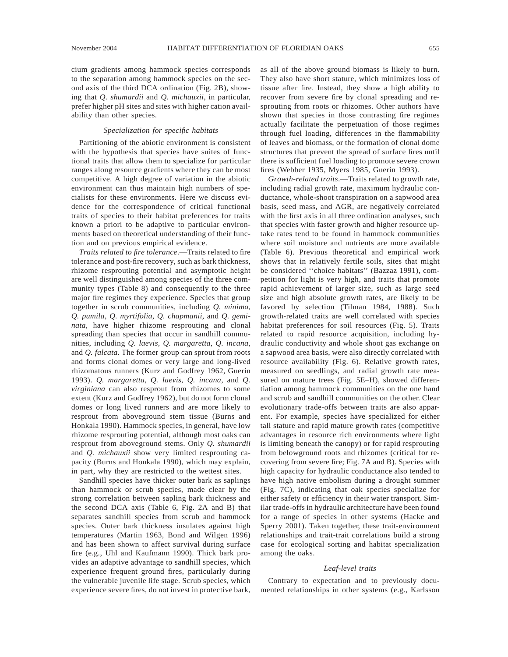cium gradients among hammock species corresponds to the separation among hammock species on the second axis of the third DCA ordination (Fig. 2B), showing that *Q. shumardii* and *Q. michauxii*, in particular, prefer higher pH sites and sites with higher cation availability than other species.

# *Specialization for specific habitats*

Partitioning of the abiotic environment is consistent with the hypothesis that species have suites of functional traits that allow them to specialize for particular ranges along resource gradients where they can be most competitive. A high degree of variation in the abiotic environment can thus maintain high numbers of specialists for these environments. Here we discuss evidence for the correspondence of critical functional traits of species to their habitat preferences for traits known a priori to be adaptive to particular environments based on theoretical understanding of their function and on previous empirical evidence.

*Traits related to fire tolerance*.—Traits related to fire tolerance and post-fire recovery, such as bark thickness, rhizome resprouting potential and asymptotic height are well distinguished among species of the three community types (Table 8) and consequently to the three major fire regimes they experience. Species that group together in scrub communities, including *Q. minima*, *Q. pumila*, *Q. myrtifolia*, *Q. chapmanii*, and *Q. geminata*, have higher rhizome resprouting and clonal spreading than species that occur in sandhill communities, including *Q. laevis*, *Q. margaretta*, *Q. incana*, and *Q. falcata*. The former group can sprout from roots and forms clonal domes or very large and long-lived rhizomatous runners (Kurz and Godfrey 1962, Guerin 1993). *Q. margaretta*, *Q. laevis*, *Q. incana*, and *Q. virginiana* can also resprout from rhizomes to some extent (Kurz and Godfrey 1962), but do not form clonal domes or long lived runners and are more likely to resprout from aboveground stem tissue (Burns and Honkala 1990). Hammock species, in general, have low rhizome resprouting potential, although most oaks can resprout from aboveground stems. Only *Q. shumardii* and *Q. michauxii* show very limited resprouting capacity (Burns and Honkala 1990), which may explain, in part, why they are restricted to the wettest sites.

Sandhill species have thicker outer bark as saplings than hammock or scrub species, made clear by the strong correlation between sapling bark thickness and the second DCA axis (Table 6, Fig. 2A and B) that separates sandhill species from scrub and hammock species. Outer bark thickness insulates against high temperatures (Martin 1963, Bond and Wilgen 1996) and has been shown to affect survival during surface fire (e.g., Uhl and Kaufmann 1990). Thick bark provides an adaptive advantage to sandhill species, which experience frequent ground fires, particularly during the vulnerable juvenile life stage. Scrub species, which experience severe fires, do not invest in protective bark, as all of the above ground biomass is likely to burn. They also have short stature, which minimizes loss of tissue after fire. Instead, they show a high ability to recover from severe fire by clonal spreading and resprouting from roots or rhizomes. Other authors have shown that species in those contrasting fire regimes actually facilitate the perpetuation of those regimes through fuel loading, differences in the flammability of leaves and biomass, or the formation of clonal dome structures that prevent the spread of surface fires until there is sufficient fuel loading to promote severe crown fires (Webber 1935, Myers 1985, Guerin 1993).

*Growth-related traits*.—Traits related to growth rate, including radial growth rate, maximum hydraulic conductance, whole-shoot transpiration on a sapwood area basis, seed mass, and AGR, are negatively correlated with the first axis in all three ordination analyses, such that species with faster growth and higher resource uptake rates tend to be found in hammock communities where soil moisture and nutrients are more available (Table 6). Previous theoretical and empirical work shows that in relatively fertile soils, sites that might be considered ''choice habitats'' (Bazzaz 1991), competition for light is very high, and traits that promote rapid achievement of larger size, such as large seed size and high absolute growth rates, are likely to be favored by selection (Tilman 1984, 1988). Such growth-related traits are well correlated with species habitat preferences for soil resources (Fig. 5). Traits related to rapid resource acquisition, including hydraulic conductivity and whole shoot gas exchange on a sapwood area basis, were also directly correlated with resource availability (Fig. 6). Relative growth rates, measured on seedlings, and radial growth rate measured on mature trees (Fig. 5E–H), showed differentiation among hammock communities on the one hand and scrub and sandhill communities on the other. Clear evolutionary trade-offs between traits are also apparent. For example, species have specialized for either tall stature and rapid mature growth rates (competitive advantages in resource rich environments where light is limiting beneath the canopy) or for rapid resprouting from belowground roots and rhizomes (critical for recovering from severe fire; Fig. 7A and B). Species with high capacity for hydraulic conductance also tended to have high native embolism during a drought summer (Fig. 7C), indicating that oak species specialize for either safety or efficiency in their water transport. Similar trade-offs in hydraulic architecture have been found for a range of species in other systems (Hacke and Sperry 2001). Taken together, these trait-environment relationships and trait-trait correlations build a strong case for ecological sorting and habitat specialization among the oaks.

### *Leaf-level traits*

Contrary to expectation and to previously documented relationships in other systems (e.g., Karlsson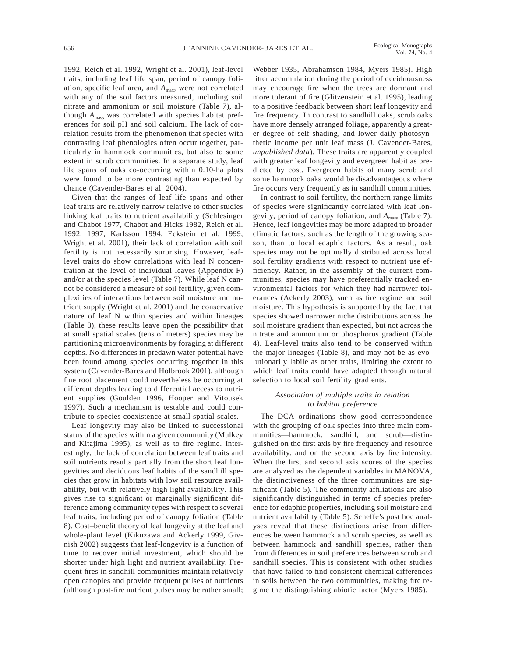1992, Reich et al. 1992, Wright et al. 2001), leaf-level traits, including leaf life span, period of canopy foliation, specific leaf area, and *A*max, were not correlated with any of the soil factors measured, including soil nitrate and ammonium or soil moisture (Table 7), although *A*mass was correlated with species habitat preferences for soil pH and soil calcium. The lack of correlation results from the phenomenon that species with contrasting leaf phenologies often occur together, particularly in hammock communities, but also to some extent in scrub communities. In a separate study, leaf life spans of oaks co-occurring within 0.10-ha plots were found to be more contrasting than expected by chance (Cavender-Bares et al. 2004).

Given that the ranges of leaf life spans and other leaf traits are relatively narrow relative to other studies linking leaf traits to nutrient availability (Schlesinger and Chabot 1977, Chabot and Hicks 1982, Reich et al. 1992, 1997, Karlsson 1994, Eckstein et al. 1999, Wright et al. 2001), their lack of correlation with soil fertility is not necessarily surprising. However, leaflevel traits do show correlations with leaf N concentration at the level of individual leaves (Appendix F) and/or at the species level (Table 7). While leaf N cannot be considered a measure of soil fertility, given complexities of interactions between soil moisture and nutrient supply (Wright et al. 2001) and the conservative nature of leaf N within species and within lineages (Table 8), these results leave open the possibility that at small spatial scales (tens of meters) species may be partitioning microenvironments by foraging at different depths. No differences in predawn water potential have been found among species occurring together in this system (Cavender-Bares and Holbrook 2001), although fine root placement could nevertheless be occurring at different depths leading to differential access to nutrient supplies (Goulden 1996, Hooper and Vitousek 1997). Such a mechanism is testable and could contribute to species coexistence at small spatial scales.

Leaf longevity may also be linked to successional status of the species within a given community (Mulkey and Kitajima 1995), as well as to fire regime. Interestingly, the lack of correlation between leaf traits and soil nutrients results partially from the short leaf longevities and deciduous leaf habits of the sandhill species that grow in habitats with low soil resource availability, but with relatively high light availability. This gives rise to significant or marginally significant difference among community types with respect to several leaf traits, including period of canopy foliation (Table 8). Cost–benefit theory of leaf longevity at the leaf and whole-plant level (Kikuzawa and Ackerly 1999, Givnish 2002) suggests that leaf-longevity is a function of time to recover initial investment, which should be shorter under high light and nutrient availability. Frequent fires in sandhill communities maintain relatively open canopies and provide frequent pulses of nutrients (although post-fire nutrient pulses may be rather small; Webber 1935, Abrahamson 1984, Myers 1985). High litter accumulation during the period of deciduousness may encourage fire when the trees are dormant and more tolerant of fire (Glitzenstein et al. 1995), leading to a positive feedback between short leaf longevity and fire frequency. In contrast to sandhill oaks, scrub oaks have more densely arranged foliage, apparently a greater degree of self-shading, and lower daily photosynthetic income per unit leaf mass (J. Cavender-Bares, *unpublished data*). These traits are apparently coupled with greater leaf longevity and evergreen habit as predicted by cost. Evergreen habits of many scrub and some hammock oaks would be disadvantageous where fire occurs very frequently as in sandhill communities.

In contrast to soil fertility, the northern range limits of species were significantly correlated with leaf longevity, period of canopy foliation, and *A*mass (Table 7). Hence, leaf longevities may be more adapted to broader climatic factors, such as the length of the growing season, than to local edaphic factors. As a result, oak species may not be optimally distributed across local soil fertility gradients with respect to nutrient use efficiency. Rather, in the assembly of the current communities, species may have preferentially tracked environmental factors for which they had narrower tolerances (Ackerly 2003), such as fire regime and soil moisture. This hypothesis is supported by the fact that species showed narrower niche distributions across the soil moisture gradient than expected, but not across the nitrate and ammonium or phosphorus gradient (Table 4). Leaf-level traits also tend to be conserved within the major lineages (Table 8), and may not be as evolutionarily labile as other traits, limiting the extent to which leaf traits could have adapted through natural selection to local soil fertility gradients.

# *Association of multiple traits in relation to habitat preference*

The DCA ordinations show good correspondence with the grouping of oak species into three main communities—hammock, sandhill, and scrub—distinguished on the first axis by fire frequency and resource availability, and on the second axis by fire intensity. When the first and second axis scores of the species are analyzed as the dependent variables in MANOVA, the distinctiveness of the three communities are significant (Table 5). The community affiliations are also significantly distinguished in terms of species preference for edaphic properties, including soil moisture and nutrient availability (Table 5). Scheffe's post hoc analyses reveal that these distinctions arise from differences between hammock and scrub species, as well as between hammock and sandhill species, rather than from differences in soil preferences between scrub and sandhill species. This is consistent with other studies that have failed to find consistent chemical differences in soils between the two communities, making fire regime the distinguishing abiotic factor (Myers 1985).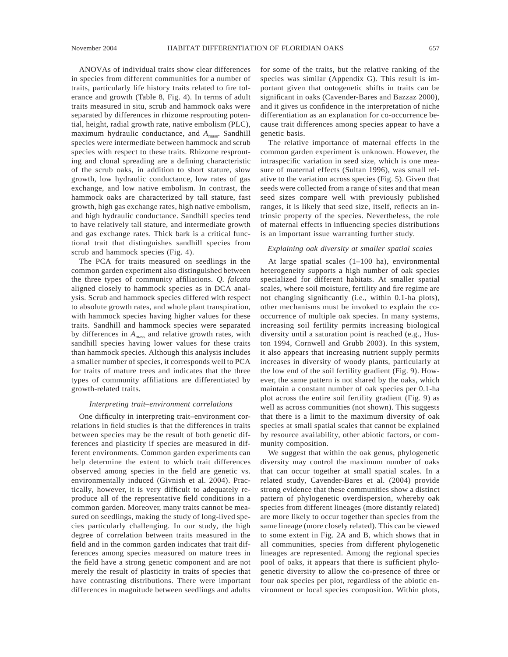ANOVAs of individual traits show clear differences in species from different communities for a number of traits, particularly life history traits related to fire tolerance and growth (Table 8, Fig. 4). In terms of adult traits measured in situ, scrub and hammock oaks were separated by differences in rhizome resprouting potential, height, radial growth rate, native embolism (PLC), maximum hydraulic conductance, and A<sub>mass</sub>. Sandhill species were intermediate between hammock and scrub species with respect to these traits. Rhizome resprouting and clonal spreading are a defining characteristic of the scrub oaks, in addition to short stature, slow growth, low hydraulic conductance, low rates of gas exchange, and low native embolism. In contrast, the hammock oaks are characterized by tall stature, fast growth, high gas exchange rates, high native embolism, and high hydraulic conductance. Sandhill species tend to have relatively tall stature, and intermediate growth and gas exchange rates. Thick bark is a critical functional trait that distinguishes sandhill species from scrub and hammock species (Fig. 4).

The PCA for traits measured on seedlings in the common garden experiment also distinguished between the three types of community affiliations. *Q. falcata* aligned closely to hammock species as in DCA analysis. Scrub and hammock species differed with respect to absolute growth rates, and whole plant transpiration, with hammock species having higher values for these traits. Sandhill and hammock species were separated by differences in *A*mass and relative growth rates, with sandhill species having lower values for these traits than hammock species. Although this analysis includes a smaller number of species, it corresponds well to PCA for traits of mature trees and indicates that the three types of community affiliations are differentiated by growth-related traits.

# *Interpreting trait–environment correlations*

One difficulty in interpreting trait–environment correlations in field studies is that the differences in traits between species may be the result of both genetic differences and plasticity if species are measured in different environments. Common garden experiments can help determine the extent to which trait differences observed among species in the field are genetic vs. environmentally induced (Givnish et al. 2004). Practically, however, it is very difficult to adequately reproduce all of the representative field conditions in a common garden. Moreover, many traits cannot be measured on seedlings, making the study of long-lived species particularly challenging. In our study, the high degree of correlation between traits measured in the field and in the common garden indicates that trait differences among species measured on mature trees in the field have a strong genetic component and are not merely the result of plasticity in traits of species that have contrasting distributions. There were important differences in magnitude between seedlings and adults

for some of the traits, but the relative ranking of the species was similar (Appendix G). This result is important given that ontogenetic shifts in traits can be significant in oaks (Cavender-Bares and Bazzaz 2000), and it gives us confidence in the interpretation of niche differentiation as an explanation for co-occurrence because trait differences among species appear to have a genetic basis.

The relative importance of maternal effects in the common garden experiment is unknown. However, the intraspecific variation in seed size, which is one measure of maternal effects (Sultan 1996), was small relative to the variation across species (Fig. 5). Given that seeds were collected from a range of sites and that mean seed sizes compare well with previously published ranges, it is likely that seed size, itself, reflects an intrinsic property of the species. Nevertheless, the role of maternal effects in influencing species distributions is an important issue warranting further study.

# *Explaining oak diversity at smaller spatial scales*

At large spatial scales (1–100 ha), environmental heterogeneity supports a high number of oak species specialized for different habitats. At smaller spatial scales, where soil moisture, fertility and fire regime are not changing significantly (i.e., within 0.1-ha plots), other mechanisms must be invoked to explain the cooccurrence of multiple oak species. In many systems, increasing soil fertility permits increasing biological diversity until a saturation point is reached (e.g., Huston 1994, Cornwell and Grubb 2003). In this system, it also appears that increasing nutrient supply permits increases in diversity of woody plants, particularly at the low end of the soil fertility gradient (Fig. 9). However, the same pattern is not shared by the oaks, which maintain a constant number of oak species per 0.1-ha plot across the entire soil fertility gradient (Fig. 9) as well as across communities (not shown). This suggests that there is a limit to the maximum diversity of oak species at small spatial scales that cannot be explained by resource availability, other abiotic factors, or community composition.

We suggest that within the oak genus, phylogenetic diversity may control the maximum number of oaks that can occur together at small spatial scales. In a related study, Cavender-Bares et al. (2004) provide strong evidence that these communities show a distinct pattern of phylogenetic overdispersion, whereby oak species from different lineages (more distantly related) are more likely to occur together than species from the same lineage (more closely related). This can be viewed to some extent in Fig. 2A and B, which shows that in all communities, species from different phylogenetic lineages are represented. Among the regional species pool of oaks, it appears that there is sufficient phylogenetic diversity to allow the co-presence of three or four oak species per plot, regardless of the abiotic environment or local species composition. Within plots,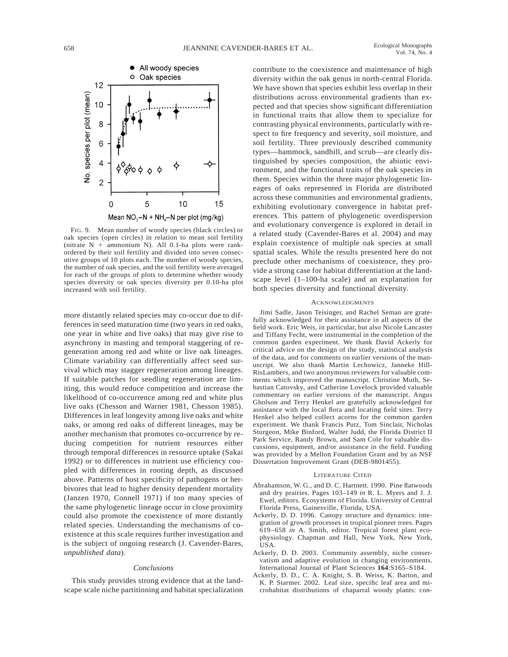

FIG. 9. Mean number of woody species (black circles) or oak species (open circles) in relation to mean soil fertility (nitrate  $N +$  ammonium N). All 0.1-ha plots were rankordered by their soil fertility and divided into seven consecutive groups of 10 plots each. The number of woody species, the number of oak species, and the soil fertility were averaged for each of the groups of plots to determine whether woody species diversity or oak species diversity per 0.10-ha plot increased with soil fertility.

more distantly related species may co-occur due to differences in seed maturation time (two years in red oaks, one year in white and live oaks) that may give rise to asynchrony in masting and temporal staggering of regeneration among red and white or live oak lineages. Climate variability can differentially affect seed survival which may stagger regeneration among lineages. If suitable patches for seedling regeneration are limiting, this would reduce competition and increase the likelihood of co-occurrence among red and white plus live oaks (Chesson and Warner 1981, Chesson 1985). Differences in leaf longevity among live oaks and white oaks, or among red oaks of different lineages, may be another mechanism that promotes co-occurrence by reducing competition for nutrient resources either through temporal differences in resource uptake (Sakai 1992) or to differences in nutrient use efficiency coupled with differences in rooting depth, as discussed above. Patterns of host specificity of pathogens or herbivores that lead to higher density dependent mortality (Janzen 1970, Connell 1971) if too many species of the same phylogenetic lineage occur in close proximity could also promote the coexistence of more distantly related species. Understanding the mechanisms of coexistence at this scale requires further investigation and is the subject of ongoing research (J. Cavender-Bares, *unpublished data*).

#### *Conclusions*

This study provides strong evidence that at the landscape scale niche partitioning and habitat specialization

contribute to the coexistence and maintenance of high diversity within the oak genus in north-central Florida. We have shown that species exhibit less overlap in their distributions across environmental gradients than expected and that species show significant differentiation in functional traits that allow them to specialize for contrasting physical environments, particularly with respect to fire frequency and severity, soil moisture, and soil fertility. Three previously described community types—hammock, sandhill, and scrub—are clearly distinguished by species composition, the abiotic environment, and the functional traits of the oak species in them. Species within the three major phylogenetic lineages of oaks represented in Florida are distributed across these communities and environmental gradients, exhibiting evolutionary convergence in habitat preferences. This pattern of phylogenetic overdispersion and evolutionary convergence is explored in detail in a related study (Cavender-Bares et al. 2004) and may explain coexistence of multiple oak species at small spatial scales. While the results presented here do not preclude other mechanisms of coexistence, they provide a strong case for habitat differentiation at the landscape level (1–100-ha scale) and an explanation for both species diversity and functional diversity.

#### **ACKNOWLEDGMENTS**

Jimi Sadle, Jason Teisinger, and Rachel Seman are gratefully acknowledged for their assistance in all aspects of the field work. Eric Weis, in particular, but also Nicole Lancaster and Tiffany Fecht, were instrumental in the completion of the common garden experiment. We thank David Ackerly for critical advice on the design of the study, statistical analysis of the data, and for comments on earlier versions of the manuscript. We also thank Martin Lechowicz, Janneke Hill-RisLambers, and two anonymous reviewers for valuable comments which improved the manuscript. Christine Muth, Sebastian Catovsky, and Catherine Lovelock provided valuable commentary on earlier versions of the manuscript. Angus Gholson and Terry Henkel are gratefully acknowledged for assistance with the local flora and locating field sites. Terry Henkel also helped collect acorns for the common garden experiment. We thank Francis Putz, Tom Sinclair, Nicholas Sturgeon, Mike Binford, Walter Judd, the Florida District II Park Service, Randy Brown, and Sam Cole for valuable discussions, equipment, and/or assistance in the field. Funding was provided by a Mellon Foundation Grant and by an NSF Dissertation Improvement Grant (DEB-9801455).

#### LITERATURE CITED

- Abrahamson, W. G., and D. C. Hartnett. 1990. Pine flatwoods and dry prairies. Pages 103–149 *in* R. L. Myers and J. J. Ewel, editors. Ecosystems of Florida. University of Central Florida Press, Gainesville, Florida, USA.
- Ackerly, D. D. 1996. Canopy structure and dynamics: integration of growth processes in tropical pioneer trees. Pages 619–658 *in* A. Smith, editor. Tropical forest plant ecophysiology. Chapman and Hall, New York, New York, USA.
- Ackerly, D. D. 2003. Community assembly, niche conservatism and adaptive evolution in changing environments. International Journal of Plant Sciences **164**:S165–S184.
- Ackerly, D. D., C. A. Knight, S. B. Weiss, K. Barton, and K. P. Starmer. 2002. Leaf size, specific leaf area and microhabitat distributions of chaparral woody plants: con-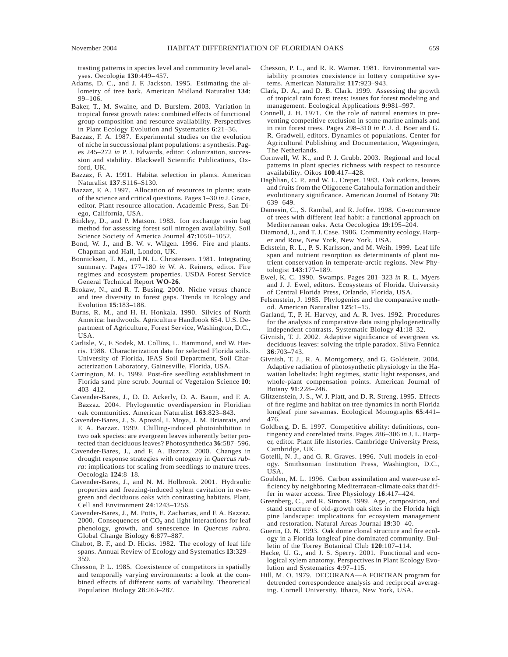trasting patterns in species level and community level analyses. Oecologia **130**:449–457.

- Adams, D. C., and J. F. Jackson. 1995. Estimating the allometry of tree bark. American Midland Naturalist **134**: 99–106.
- Baker, T., M. Swaine, and D. Burslem. 2003. Variation in tropical forest growth rates: combined effects of functional group composition and resource availability. Perspectives in Plant Ecology Evolution and Systematics **6**:21–36.
- Bazzaz, F. A. 1987. Experimental studies on the evolution of niche in succussional plant populations: a synthesis. Pages 245–272 *in* P. J. Edwards, editor. Colonization, succession and stability. Blackwell Scientific Publications, Oxford, UK.
- Bazzaz, F. A. 1991. Habitat selection in plants. American Naturalist **137**:S116–S130.
- Bazzaz, F. A. 1997. Allocation of resources in plants: state of the science and critical questions. Pages 1–30 *in* J. Grace, editor. Plant resource allocation. Academic Press, San Diego, California, USA.
- Binkley, D., and P. Matson. 1983. Ion exchange resin bag method for assessing forest soil nitrogen availability. Soil Science Society of America Journal **47**:1050–1052.
- Bond, W. J., and B. W. v. Wilgen. 1996. Fire and plants. Chapman and Hall, London, UK.
- Bonnicksen, T. M., and N. L. Christensen. 1981. Integrating summary. Pages 177–180 *in* W. A. Reiners, editor. Fire regimes and ecosystem properties. USDA Forest Service General Technical Report **WO**-**26**.
- Brokaw, N., and R. T. Busing. 2000. Niche versus chance and tree diversity in forest gaps. Trends in Ecology and Evolution **15**:183–188.
- Burns, R. M., and H. H. Honkala. 1990. Silvics of North America: hardwoods. Agriculture Handbook 654. U.S. Department of Agriculture, Forest Service, Washington, D.C., USA.
- Carlisle, V., F. Sodek, M. Collins, L. Hammond, and W. Harris. 1988. Characterization data for selected Florida soils. University of Florida, IFAS Soil Department, Soil Characterization Laboratory, Gainesville, Florida, USA.
- Carrington, M. E. 1999. Post-fire seedling establishment in Florida sand pine scrub. Journal of Vegetaion Science **10**: 403–412.
- Cavender-Bares, J., D. D. Ackerly, D. A. Baum, and F. A. Bazzaz. 2004. Phylogenetic overdispersion in Floridian oak communities. American Naturalist **163**:823–843.
- Cavender-Bares, J., S. Apostol, I. Moya, J. M. Briantais, and F. A. Bazzaz. 1999. Chilling-induced photoinhibition in two oak species: are evergreen leaves inherently better protected than deciduous leaves? Photosynthetica **36**:587–596.
- Cavender-Bares, J., and F. A. Bazzaz. 2000. Changes in drought response strategies with ontogeny in *Quercus rubra*: implications for scaling from seedlings to mature trees. Oecologia **124**:8–18.
- Cavender-Bares, J., and N. M. Holbrook. 2001. Hydraulic properties and freezing-induced xylem cavitation in evergreen and deciduous oaks with contrasting habitats. Plant, Cell and Environment **24**:1243–1256.
- Cavender-Bares, J., M. Potts, E. Zacharias, and F. A. Bazzaz. 2000. Consequences of  $CO<sub>2</sub>$  and light interactions for leaf phenology, growth, and senescence in *Quercus rubra*. Global Change Biology **6**:877–887.
- Chabot, B. F., and D. Hicks. 1982. The ecology of leaf life spans. Annual Review of Ecology and Systematics **13**:329– 359.
- Chesson, P. L. 1985. Coexistence of competitors in spatially and temporally varying environments: a look at the combined effects of different sorts of variability. Theoretical Population Biology **28**:263–287.
- Chesson, P. L., and R. R. Warner. 1981. Environmental variability promotes coexistence in lottery competitive systems. American Naturalist **117**:923–943.
- Clark, D. A., and D. B. Clark. 1999. Assessing the growth of tropical rain forest trees: issues for forest modeling and management. Ecological Applications **9**:981–997.
- Connell, J. H. 1971. On the role of natural enemies in preventing competitive exclusion in some marine animals and in rain forest trees. Pages 298–310 *in* P. J. d. Boer and G. R. Gradwell, editors. Dynamics of populations. Center for Agricultural Publishing and Documentation, Wageningen, The Netherlands.
- Cornwell, W. K., and P. J. Grubb. 2003. Regional and local patterns in plant species richness with respect to resource availability. Oikos **100**:417–428.
- Daghlian, C. P., and W. L. Crepet. 1983. Oak catkins, leaves and fruits from the Oligocene Catahoula formation and their evolutionary significance. American Journal of Botany **70**: 639–649.
- Damesin, C., S. Rambal, and R. Joffre. 1998. Co-occurrence of trees with different leaf habit: a functional approach on Mediterranean oaks. Acta Oecologica **19**:195–204.
- Diamond, J., and T. J. Case. 1986. Community ecology. Harper and Row, New York, New York, USA.
- Eckstein, R. L., P. S. Karlsson, and M. Weih. 1999. Leaf life span and nutrient resorption as determinants of plant nutrient conservation in temperate-arctic regions. New Phytologist **143**:177–189.
- Ewel, K. C. 1990. Swamps. Pages 281–323 *in* R. L. Myers and J. J. Ewel, editors. Ecosystems of Florida. University of Central Florida Press, Orlando, Florida, USA.
- Felsenstein, J. 1985. Phylogenies and the comparative method. American Naturalist **125**:1–15.
- Garland, T., P. H. Harvey, and A. R. Ives. 1992. Procedures for the analysis of comparative data using phylogenetically independent contrasts. Systematic Biology **41**:18–32.
- Givnish, T. J. 2002. Adaptive significance of evergreen vs. deciduous leaves: solving the triple paradox. Silva Fennica **36**:703–743.
- Givnish, T. J., R. A. Montgomery, and G. Goldstein. 2004. Adaptive radiation of photosynthetic physiology in the Hawaiian lobeliads: light regimes, static light responses, and whole-plant compensation points. American Journal of Botany **91**:228–246.
- Glitzenstein, J. S., W. J. Platt, and D. R. Streng. 1995. Effects of fire regime and habitat on tree dynamics in north Florida longleaf pine savannas. Ecological Monographs **65**:441– 476.
- Goldberg, D. E. 1997. Competitive ability: definitions, contingency and correlated traits. Pages 286–306 *in* J. L. Harper, editor. Plant life histories. Cambridge University Press, Cambridge, UK.
- Gotelli, N. J., and G. R. Graves. 1996. Null models in ecology. Smithsonian Institution Press, Washington, D.C., USA.
- Goulden, M. L. 1996. Carbon assimilation and water-use efficiency by neighboring Mediterraean-climate oaks that differ in water access. Tree Physiology **16**:417–424.
- Greenberg, C., and R. Simons. 1999. Age, composition, and stand structure of old-growth oak sites in the Florida high pine landscape: implications for ecosystem management and restoration. Natural Areas Journal **19**:30–40.
- Guerin, D. N. 1993. Oak dome clonal structure and fire ecology in a Florida longleaf pine dominated community. Bulletin of the Torrey Botanical Club **120**:107–114.
- Hacke, U. G., and J. S. Sperry. 2001. Functional and ecological xylem anatomy. Perspectives in Plant Ecology Evolution and Systematics **4**:97–115.
- Hill, M. O. 1979. DECORANA—A FORTRAN program for detrended correspondence analysis and reciprocal averaging. Cornell University, Ithaca, New York, USA.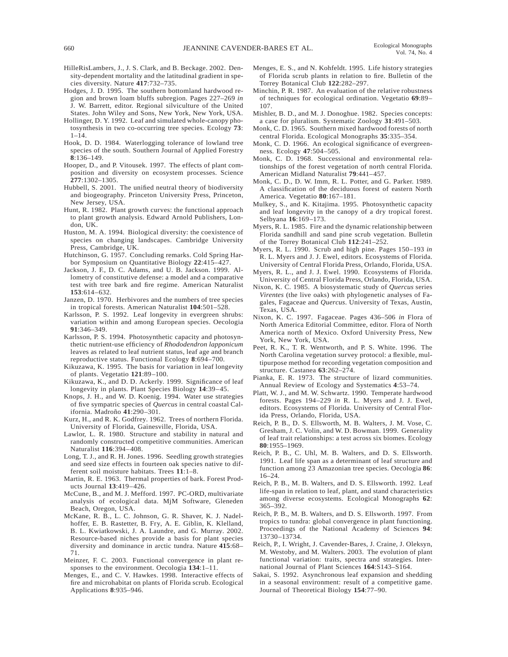- HilleRisLambers, J., J. S. Clark, and B. Beckage. 2002. Density-dependent mortality and the latitudinal gradient in species diversity. Nature **417**:732–735.
- Hodges, J. D. 1995. The southern bottomland hardwood region and brown loam bluffs subregion. Pages 227–269 *in* J. W. Barrett, editor. Regional silviculture of the United States. John Wiley and Sons, New York, New York, USA.
- Hollinger, D. Y. 1992. Leaf and simulated whole-canopy photosynthesis in two co-occurring tree species. Ecology **73**:  $1 - 14$ .
- Hook, D. D. 1984. Waterlogging tolerance of lowland tree species of the south. Southern Journal of Applied Forestry **8**:136–149.
- Hooper, D., and P. Vitousek. 1997. The effects of plant composition and diversity on ecosystem processes. Science **277**:1302–1305.
- Hubbell, S. 2001. The unified neutral theory of biodiversity and biogeography. Princeton University Press, Princeton, New Jersey, USA.
- Hunt, R. 1982. Plant growth curves: the functional approach to plant growth analysis. Edward Arnold Publishers, London, UK.
- Huston, M. A. 1994. Biological diversity: the coexistence of species on changing landscapes. Cambridge University Press, Cambridge, UK.
- Hutchinson, G. 1957. Concluding remarks. Cold Spring Harbor Symposium on Quantitative Biology **22**:415–427.
- Jackson, J. F., D. C. Adams, and U. B. Jackson. 1999. Allometry of constitutive defense: a model and a comparative test with tree bark and fire regime. American Naturalist **153**:614–632.
- Janzen, D. 1970. Herbivores and the numbers of tree species in tropical forests. American Naturalist **104**:501–528.
- Karlsson, P. S. 1992. Leaf longevity in evergreen shrubs: variation within and among European species. Oecologia **91**:346–349.
- Karlsson, P. S. 1994. Photosynthetic capacity and photosynthetic nutrient-use efficiency of *Rhododendron lapponicum* leaves as related to leaf nutrient status, leaf age and branch reproductive status. Functional Ecology **8**:694–700.
- Kikuzawa, K. 1995. The basis for variation in leaf longevity of plants. Vegetatio **121**:89–100.
- Kikuzawa, K., and D. D. Ackerly. 1999. Significance of leaf longevity in plants. Plant Species Biology **14**:39–45.
- Knops, J. H., and W. D. Koenig. 1994. Water use strategies of five sympatric species of *Quercus* in central coastal California. Madroño 41:290-301.
- Kurz, H., and R. K. Godfrey. 1962. Trees of northern Florida. University of Florida, Gainesville, Florida, USA.
- Lawlor, L. R. 1980. Structure and stability in natural and randomly constructed competitive communities. American Naturalist **116**:394–408.
- Long, T. J., and R. H. Jones. 1996. Seedling growth strategies and seed size effects in fourteen oak species native to different soil moisture habitats. Trees **11**:1–8.
- Martin, R. E. 1963. Thermal properties of bark. Forest Products Journal **13**:419–426.
- McCune, B., and M. J. Mefford. 1997. PC-ORD, multivariate analysis of ecological data. MjM Software, Gleneden Beach, Oregon, USA.
- McKane, R. B., L. C. Johnson, G. R. Shaver, K. J. Nadelhoffer, E. B. Rastetter, B. Fry, A. E. Giblin, K. Klelland, B. L. Kwiatkowski, J. A. Laundre, and G. Murray. 2002. Resource-based niches provide a basis for plant species diversity and dominance in arctic tundra. Nature **415**:68– 71.
- Meinzer, F. C. 2003. Functional convergence in plant responses to the environment. Oecologia **134**:1–11.
- Menges, E., and C. V. Hawkes. 1998. Interactive effects of fire and microhabitat on plants of Florida scrub. Ecological Applications **8**:935–946.
- Menges, E. S., and N. Kohfeldt. 1995. Life history strategies of Florida scrub plants in relation to fire. Bulletin of the Torrey Botanical Club **122**:282–297.
- Minchin, P. R. 1987. An evaluation of the relative robustness of techniques for ecological ordination. Vegetatio **69**:89– 107.
- Mishler, B. D., and M. J. Donoghue. 1982. Species concepts: a case for pluralism. Systematic Zoology **31**:491–503.
- Monk, C. D. 1965. Southern mixed hardwood forests of north central Florida. Ecological Monographs **35**:335–354.
- Monk, C. D. 1966. An ecological significance of evergreenness. Ecology **47**:504–505.
- Monk, C. D. 1968. Successional and environmental relationships of the forest vegetation of north central Florida. American Midland Naturalist **79**:441–457.
- Monk, C. D., D. W. Imm, R. L. Potter, and G. Parker. 1989. A classification of the deciduous forest of eastern North America. Vegetatio **80**:167–181.
- Mulkey, S., and K. Kitajima. 1995. Photosynthetic capacity and leaf longevity in the canopy of a dry tropical forest. Selbyana **16**:169–173.
- Myers, R. L. 1985. Fire and the dynamic relationship between Florida sandhill and sand pine scrub vegetation. Bulletin of the Torrey Botanical Club **112**:241–252.
- Myers, R. L. 1990. Scrub and high pine. Pages 150–193 *in* R. L. Myers and J. J. Ewel, editors. Ecosystems of Florida. University of Central Florida Press, Orlando, Florida, USA.
- Myers, R. L., and J. J. Ewel. 1990. Ecosystems of Florida. University of Central Florida Press, Orlando, Florida, USA.
- Nixon, K. C. 1985. A biosystematic study of *Quercus* series *Virentes* (the live oaks) with phylogenetic analyses of Fagales, Fagaceae and *Quercus*. University of Texas, Austin, Texas, USA.
- Nixon, K. C. 1997. Fagaceae. Pages 436–506 *in* Flora of North America Editorial Committee, editor. Flora of North America north of Mexico. Oxford University Press, New York, New York, USA.
- Peet, R. K., T. R. Wentworth, and P. S. White. 1996. The North Carolina vegetation survey protocol: a flexible, multipurpose method for recording vegetation composition and structure. Castanea **63**:262–274.
- Pianka, E. R. 1973. The structure of lizard communities. Annual Review of Ecology and Systematics **4**:53–74.
- Platt, W. J., and M. W. Schwartz. 1990. Temperate hardwood forests. Pages 194–229 *in* R. L. Myers and J. J. Ewel, editors. Ecosystems of Florida. University of Central Florida Press, Orlando, Florida, USA.
- Reich, P. B., D. S. Ellsworth, M. B. Walters, J. M. Vose, C. Gresham, J. C. Volin, and W. D. Bowman. 1999. Generality of leaf trait relationships: a test across six biomes. Ecology **80**:1955–1969.
- Reich, P. B., C. Uhl, M. B. Walters, and D. S. Ellsworth. 1991. Leaf life span as a determinant of leaf structure and function among 23 Amazonian tree species. Oecologia **86**: 16–24.
- Reich, P. B., M. B. Walters, and D. S. Ellsworth. 1992. Leaf life-span in relation to leaf, plant, and stand characteristics among diverse ecosystems. Ecological Monographs **62**: 365–392.
- Reich, P. B., M. B. Walters, and D. S. Ellsworth. 1997. From tropics to tundra: global convergence in plant functioning. Proceedings of the National Academy of Sciences **94**: 13730–13734.
- Reich, P., I. Wright, J. Cavender-Bares, J. Craine, J. Oleksyn, M. Westoby, and M. Walters. 2003. The evolution of plant functional variation: traits, spectra and strategies. International Journal of Plant Sciences **164**:S143–S164.
- Sakai, S. 1992. Asynchronous leaf expansion and shedding in a seasonal environment: result of a competitive game. Journal of Theoretical Biology **154**:77–90.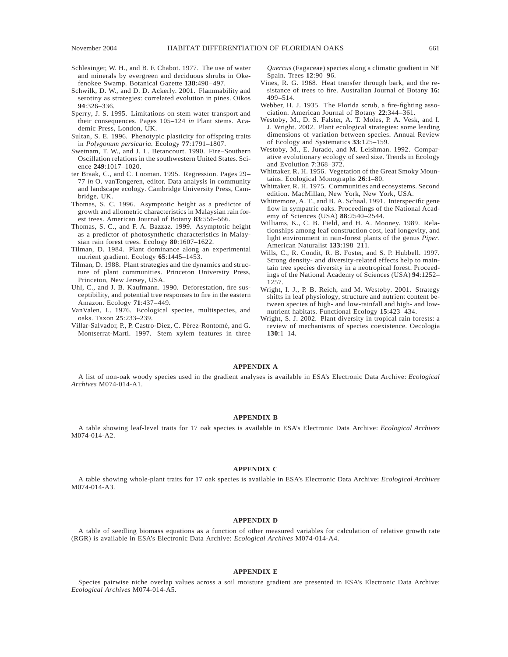- Schlesinger, W. H., and B. F. Chabot. 1977. The use of water and minerals by evergreen and deciduous shrubs in Okefenokee Swamp. Botanical Gazette **138**:490–497.
- Schwilk, D. W., and D. D. Ackerly. 2001. Flammability and serotiny as strategies: correlated evolution in pines. Oikos **94**:326–336.
- Sperry, J. S. 1995. Limitations on stem water transport and their consequences. Pages 105–124 *in* Plant stems. Academic Press, London, UK.
- Sultan, S. E. 1996. Phenotypic plasticity for offspring traits in *Polygonum persicaria*. Ecology **77**:1791–1807.
- Swetnam, T. W., and J. L. Betancourt. 1990. Fire–Southern Oscillation relations in the southwestern United States. Science **249**:1017–1020.
- ter Braak, C., and C. Looman. 1995. Regression. Pages 29– 77 *in* O. vanTongeren, editor. Data analysis in community and landscape ecology. Cambridge University Press, Cambridge, UK.
- Thomas, S. C. 1996. Asymptotic height as a predictor of growth and allometric characteristics in Malaysian rain forest trees. American Journal of Botany **83**:556–566.
- Thomas, S. C., and F. A. Bazzaz. 1999. Asymptotic height as a predictor of photosynthetic characteristics in Malaysian rain forest trees. Ecology **80**:1607–1622.
- Tilman, D. 1984. Plant dominance along an experimental nutrient gradient. Ecology **65**:1445–1453.
- Tilman, D. 1988. Plant strategies and the dynamics and structure of plant communities. Princeton University Press, Princeton, New Jersey, USA.
- Uhl, C., and J. B. Kaufmann. 1990. Deforestation, fire susceptibility, and potential tree responses to fire in the eastern Amazon. Ecology **71**:437–449.
- VanValen, L. 1976. Ecological species, multispecies, and oaks. Taxon **25**:233–239.
- Villar-Salvador, P., P. Castro-Díez, C. Pérez-Rontomé, and G. Montserrat-Martí. 1997. Stem xylem features in three

*Quercus* (Fagaceae) species along a climatic gradient in NE Spain. Trees **12**:90–96.

- Vines, R. G. 1968. Heat transfer through bark, and the resistance of trees to fire. Australian Journal of Botany **16**: 499–514.
- Webber, H. J. 1935. The Florida scrub, a fire-fighting association. American Journal of Botany **22**:344–361.
- Westoby, M., D. S. Falster, A. T. Moles, P. A. Vesk, and I. J. Wright. 2002. Plant ecological strategies: some leading dimensions of variation between species. Annual Review of Ecology and Systematics **33**:125–159.
- Westoby, M., E. Jurado, and M. Leishman. 1992. Comparative evolutionary ecology of seed size. Trends in Ecology and Evolution **7**:368–372.
- Whittaker, R. H. 1956. Vegetation of the Great Smoky Mountains. Ecological Monographs **26**:1–80.
- Whittaker, R. H. 1975. Communities and ecosystems. Second edition. MacMillan, New York, New York, USA.
- Whittemore, A. T., and B. A. Schaal. 1991. Interspecific gene flow in sympatric oaks. Proceedings of the National Academy of Sciences (USA) **88**:2540–2544.
- Williams, K., C. B. Field, and H. A. Mooney. 1989. Relationships among leaf construction cost, leaf longevity, and light environment in rain-forest plants of the genus *Piper*. American Naturalist **133**:198–211.
- Wills, C., R. Condit, R. B. Foster, and S. P. Hubbell. 1997. Strong density- and diversity-related effects help to maintain tree species diversity in a neotropical forest. Proceedings of the National Academy of Sciences (USA) **94**:1252– 1257.
- Wright, I. J., P. B. Reich, and M. Westoby. 2001. Strategy shifts in leaf physiology, structure and nutrient content between species of high- and low-rainfall and high- and lownutrient habitats. Functional Ecology **15**:423–434.
- Wright, S. J. 2002. Plant diversity in tropical rain forests: a review of mechanisms of species coexistence. Oecologia **130**:1–14.

## **APPENDIX A**

A list of non-oak woody species used in the gradient analyses is available in ESA's Electronic Data Archive: *Ecological Archives* M074-014-A1.

#### **APPENDIX B**

A table showing leaf-level traits for 17 oak species is available in ESA's Electronic Data Archive: *Ecological Archives* M074-014-A2.

## **APPENDIX C**

A table showing whole-plant traits for 17 oak species is available in ESA's Electronic Data Archive: *Ecological Archives* M074-014-A3.

### **APPENDIX D**

A table of seedling biomass equations as a function of other measured variables for calculation of relative growth rate (RGR) is available in ESA's Electronic Data Archive: *Ecological Archives* M074-014-A4.

#### **APPENDIX E**

Species pairwise niche overlap values across a soil moisture gradient are presented in ESA's Electronic Data Archive: *Ecological Archives* M074-014-A5.